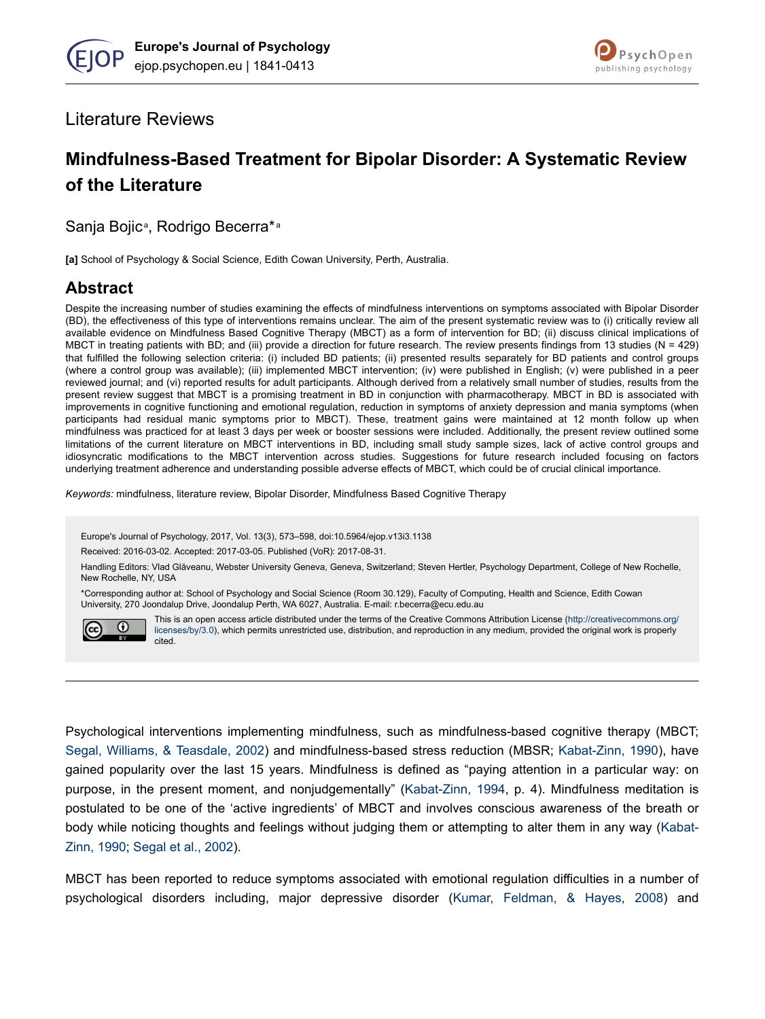

### Literature Reviews

# **Mindfulness-Based Treatment for Bipolar Disorder: A Systematic Review of the Literature**

Sanja Bojic<sup>a</sup>, Rodrigo Becerra\*<sup>a</sup>

**[a]** School of Psychology & Social Science, Edith Cowan University, Perth, Australia.

## **Abstract**

Despite the increasing number of studies examining the effects of mindfulness interventions on symptoms associated with Bipolar Disorder (BD), the effectiveness of this type of interventions remains unclear. The aim of the present systematic review was to (i) critically review all available evidence on Mindfulness Based Cognitive Therapy (MBCT) as a form of intervention for BD; (ii) discuss clinical implications of MBCT in treating patients with BD; and (iii) provide a direction for future research. The review presents findings from 13 studies (N = 429) that fulfilled the following selection criteria: (i) included BD patients; (ii) presented results separately for BD patients and control groups (where a control group was available); (iii) implemented MBCT intervention; (iv) were published in English; (v) were published in a peer reviewed journal; and (vi) reported results for adult participants. Although derived from a relatively small number of studies, results from the present review suggest that MBCT is a promising treatment in BD in conjunction with pharmacotherapy. MBCT in BD is associated with improvements in cognitive functioning and emotional regulation, reduction in symptoms of anxiety depression and mania symptoms (when participants had residual manic symptoms prior to MBCT). These, treatment gains were maintained at 12 month follow up when mindfulness was practiced for at least 3 days per week or booster sessions were included. Additionally, the present review outlined some limitations of the current literature on MBCT interventions in BD, including small study sample sizes, lack of active control groups and idiosyncratic modifications to the MBCT intervention across studies. Suggestions for future research included focusing on factors underlying treatment adherence and understanding possible adverse effects of MBCT, which could be of crucial clinical importance.

*Keywords:* mindfulness, literature review, Bipolar Disorder, Mindfulness Based Cognitive Therapy

Europe's Journal of Psychology, 2017, Vol. 13(3), 573–598, doi:10.5964/ejop.v13i3.1138

Received: 2016-03-02. Accepted: 2017-03-05. Published (VoR): 2017-08-31.

Handling Editors: Vlad Glăveanu, Webster University Geneva, Geneva, Switzerland; Steven Hertler, Psychology Department, College of New Rochelle, New Rochelle, NY, USA

\*Corresponding author at: School of Psychology and Social Science (Room 30.129), Faculty of Computing, Health and Science, Edith Cowan University, 270 Joondalup Drive, Joondalup Perth, WA 6027, Australia. E-mail: r.becerra@ecu.edu.au



This is an open access article distributed under the terms of the Creative Commons Attribution License [\(http://creativecommons.org/](http://creativecommons.org/licenses/by/3.0) [licenses/by/3.0\)](http://creativecommons.org/licenses/by/3.0), which permits unrestricted use, distribution, and reproduction in any medium, provided the original work is properly cited.

Psychological interventions implementing mindfulness, such as mindfulness-based cognitive therapy (MBCT; [Segal, Williams, & Teasdale, 2002\)](#page-24-0) and mindfulness-based stress reduction (MBSR; [Kabat-Zinn, 1990\)](#page-22-0), have gained popularity over the last 15 years. Mindfulness is defined as "paying attention in a particular way: on purpose, in the present moment, and nonjudgementally" [\(Kabat-Zinn, 1994,](#page-22-0) p. 4). Mindfulness meditation is postulated to be one of the 'active ingredients' of MBCT and involves conscious awareness of the breath or body while noticing thoughts and feelings without judging them or attempting to alter them in any way ([Kabat-](#page-22-0)[Zinn, 1990](#page-22-0); [Segal et al., 2002\)](#page-24-0).

MBCT has been reported to reduce symptoms associated with emotional regulation difficulties in a number of psychological disorders including, major depressive disorder ([Kumar, Feldman, & Hayes, 2008\)](#page-22-0) and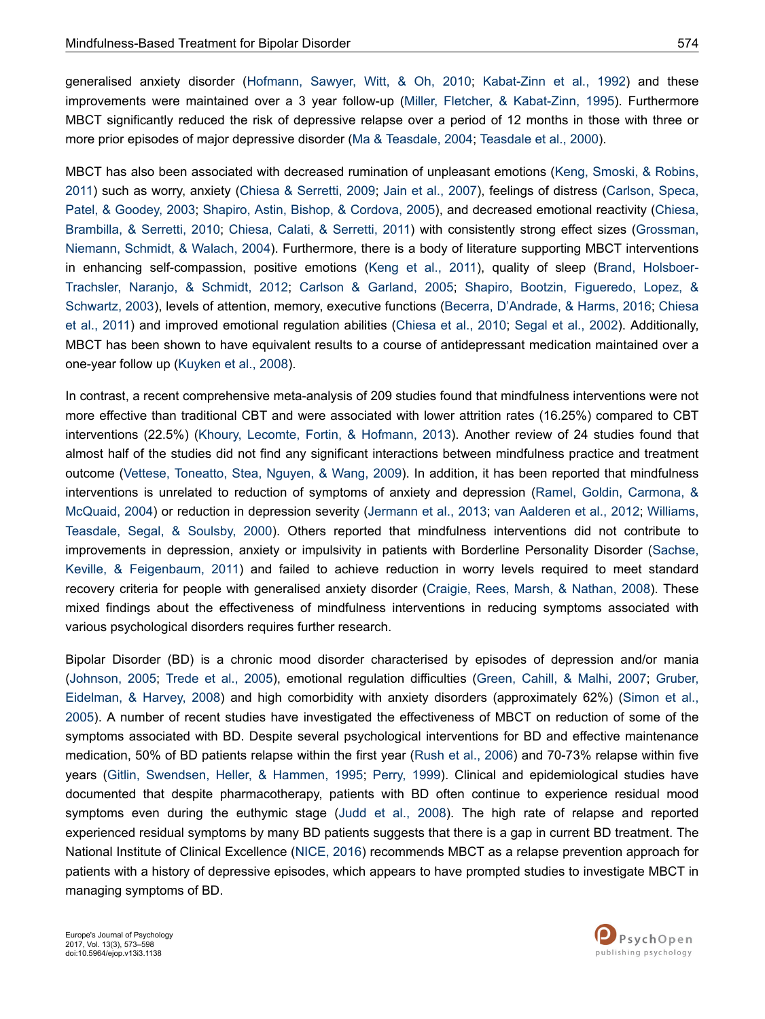generalised anxiety disorder [\(Hofmann, Sawyer, Witt, & Oh, 2010](#page-21-0); [Kabat-Zinn et al., 1992](#page-22-0)) and these improvements were maintained over a 3 year follow-up ([Miller, Fletcher, & Kabat-Zinn, 1995](#page-23-0)). Furthermore MBCT significantly reduced the risk of depressive relapse over a period of 12 months in those with three or

MBCT has also been associated with decreased rumination of unpleasant emotions [\(Keng, Smoski, & Robins,](#page-22-0) [2011\)](#page-22-0) such as worry, anxiety ([Chiesa & Serretti, 2009](#page-20-0); [Jain et al., 2007\)](#page-22-0), feelings of distress [\(Carlson, Speca,](#page-20-0) [Patel, & Goodey, 2003](#page-20-0); [Shapiro, Astin, Bishop, & Cordova, 2005\)](#page-24-0), and decreased emotional reactivity [\(Chiesa,](#page-20-0) [Brambilla, & Serretti, 2010](#page-20-0); [Chiesa, Calati, & Serretti, 2011\)](#page-20-0) with consistently strong effect sizes [\(Grossman,](#page-21-0) [Niemann, Schmidt, & Walach, 2004\)](#page-21-0). Furthermore, there is a body of literature supporting MBCT interventions in enhancing self-compassion, positive emotions [\(Keng et al., 2011](#page-22-0)), quality of sleep ([Brand, Holsboer-](#page-19-0)[Trachsler, Naranjo, & Schmidt, 2012](#page-19-0); [Carlson & Garland, 2005](#page-19-0); [Shapiro, Bootzin, Figueredo, Lopez, &](#page-24-0) [Schwartz, 2003](#page-24-0)), levels of attention, memory, executive functions [\(Becerra, D'Andrade, & Harms, 2016](#page-19-0); [Chiesa](#page-20-0) [et al., 2011](#page-20-0)) and improved emotional regulation abilities [\(Chiesa et al., 2010](#page-20-0); [Segal et al., 2002](#page-24-0)). Additionally, MBCT has been shown to have equivalent results to a course of antidepressant medication maintained over a one-year follow up ([Kuyken et al., 2008](#page-22-0)).

more prior episodes of major depressive disorder [\(Ma & Teasdale, 2004](#page-22-0); [Teasdale et al., 2000](#page-24-0)).

In contrast, a recent comprehensive meta-analysis of 209 studies found that mindfulness interventions were not more effective than traditional CBT and were associated with lower attrition rates (16.25%) compared to CBT interventions (22.5%) ([Khoury, Lecomte, Fortin, & Hofmann, 2013](#page-22-0)). Another review of 24 studies found that almost half of the studies did not find any significant interactions between mindfulness practice and treatment outcome [\(Vettese, Toneatto, Stea, Nguyen, & Wang, 2009\)](#page-25-0). In addition, it has been reported that mindfulness interventions is unrelated to reduction of symptoms of anxiety and depression [\(Ramel, Goldin, Carmona, &](#page-23-0) [McQuaid, 2004](#page-23-0)) or reduction in depression severity ([Jermann et al., 2013](#page-22-0); [van Aalderen et al., 2012](#page-24-0); [Williams,](#page-25-0) [Teasdale, Segal, & Soulsby, 2000](#page-25-0)). Others reported that mindfulness interventions did not contribute to improvements in depression, anxiety or impulsivity in patients with Borderline Personality Disorder [\(Sachse,](#page-23-0) [Keville, & Feigenbaum, 2011](#page-23-0)) and failed to achieve reduction in worry levels required to meet standard recovery criteria for people with generalised anxiety disorder [\(Craigie, Rees, Marsh, & Nathan, 2008\)](#page-20-0). These mixed findings about the effectiveness of mindfulness interventions in reducing symptoms associated with various psychological disorders requires further research.

Bipolar Disorder (BD) is a chronic mood disorder characterised by episodes of depression and/or mania [\(Johnson, 2005;](#page-22-0) [Trede et al., 2005\)](#page-24-0), emotional regulation difficulties [\(Green, Cahill, & Malhi, 2007;](#page-21-0) [Gruber,](#page-21-0) [Eidelman, & Harvey, 2008\)](#page-21-0) and high comorbidity with anxiety disorders (approximately 62%) [\(Simon et al.,](#page-24-0) [2005](#page-24-0)). A number of recent studies have investigated the effectiveness of MBCT on reduction of some of the symptoms associated with BD. Despite several psychological interventions for BD and effective maintenance medication, 50% of BD patients relapse within the first year ([Rush et al., 2006\)](#page-23-0) and 70-73% relapse within five years ([Gitlin, Swendsen, Heller, & Hammen, 1995;](#page-21-0) [Perry, 1999](#page-23-0)). Clinical and epidemiological studies have documented that despite pharmacotherapy, patients with BD often continue to experience residual mood symptoms even during the euthymic stage ([Judd et al., 2008\)](#page-22-0). The high rate of relapse and reported experienced residual symptoms by many BD patients suggests that there is a gap in current BD treatment. The National Institute of Clinical Excellence ([NICE, 2016\)](#page-23-0) recommends MBCT as a relapse prevention approach for patients with a history of depressive episodes, which appears to have prompted studies to investigate MBCT in managing symptoms of BD.

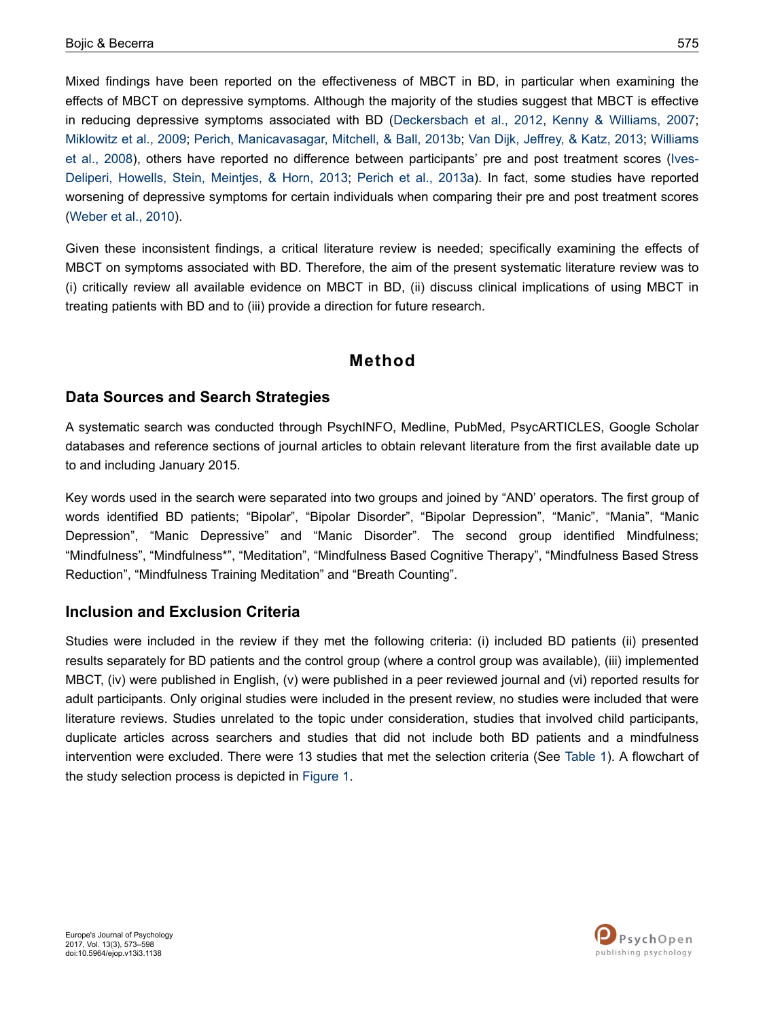Mixed findings have been reported on the effectiveness of MBCT in BD, in particular when examining the effects of MBCT on depressive symptoms. Although the majority of the studies suggest that MBCT is effective in reducing depressive symptoms associated with BD ([Deckersbach et al., 2012,](#page-20-0) [Kenny & Williams, 2007](#page-22-0); [Miklowitz et al., 2009](#page-23-0); [Perich, Manicavasagar, Mitchell, & Ball, 2013b;](#page-23-0) [Van Dijk, Jeffrey, & Katz, 2013](#page-24-0); [Williams](#page-25-0) [et al., 2008](#page-25-0)), others have reported no difference between participants' pre and post treatment scores ([Ives-](#page-21-0)[Deliperi, Howells, Stein, Meintjes, & Horn, 2013;](#page-21-0) [Perich et al., 2013a](#page-23-0)). In fact, some studies have reported worsening of depressive symptoms for certain individuals when comparing their pre and post treatment scores [\(Weber et al., 2010\)](#page-25-0).

Given these inconsistent findings, a critical literature review is needed; specifically examining the effects of MBCT on symptoms associated with BD. Therefore, the aim of the present systematic literature review was to (i) critically review all available evidence on MBCT in BD, (ii) discuss clinical implications of using MBCT in treating patients with BD and to (iii) provide a direction for future research.

## **Method**

### **Data Sources and Search Strategies**

A systematic search was conducted through PsychINFO, Medline, PubMed, PsycARTICLES, Google Scholar databases and reference sections of journal articles to obtain relevant literature from the first available date up to and including January 2015.

Key words used in the search were separated into two groups and joined by "AND' operators. The first group of words identified BD patients; "Bipolar", "Bipolar Disorder", "Bipolar Depression", "Manic", "Mania", "Manic Depression", "Manic Depressive" and "Manic Disorder". The second group identified Mindfulness; "Mindfulness", "Mindfulness\*", "Meditation", "Mindfulness Based Cognitive Therapy", "Mindfulness Based Stress Reduction", "Mindfulness Training Meditation" and "Breath Counting".

#### **Inclusion and Exclusion Criteria**

Studies were included in the review if they met the following criteria: (i) included BD patients (ii) presented results separately for BD patients and the control group (where a control group was available), (iii) implemented MBCT, (iv) were published in English, (v) were published in a peer reviewed journal and (vi) reported results for adult participants. Only original studies were included in the present review, no studies were included that were literature reviews. Studies unrelated to the topic under consideration, studies that involved child participants, duplicate articles across searchers and studies that did not include both BD patients and a mindfulness intervention were excluded. There were 13 studies that met the selection criteria (See [Table 1\)](#page-4-0). A flowchart of the study selection process is depicted in [Figure 1](#page-3-0).

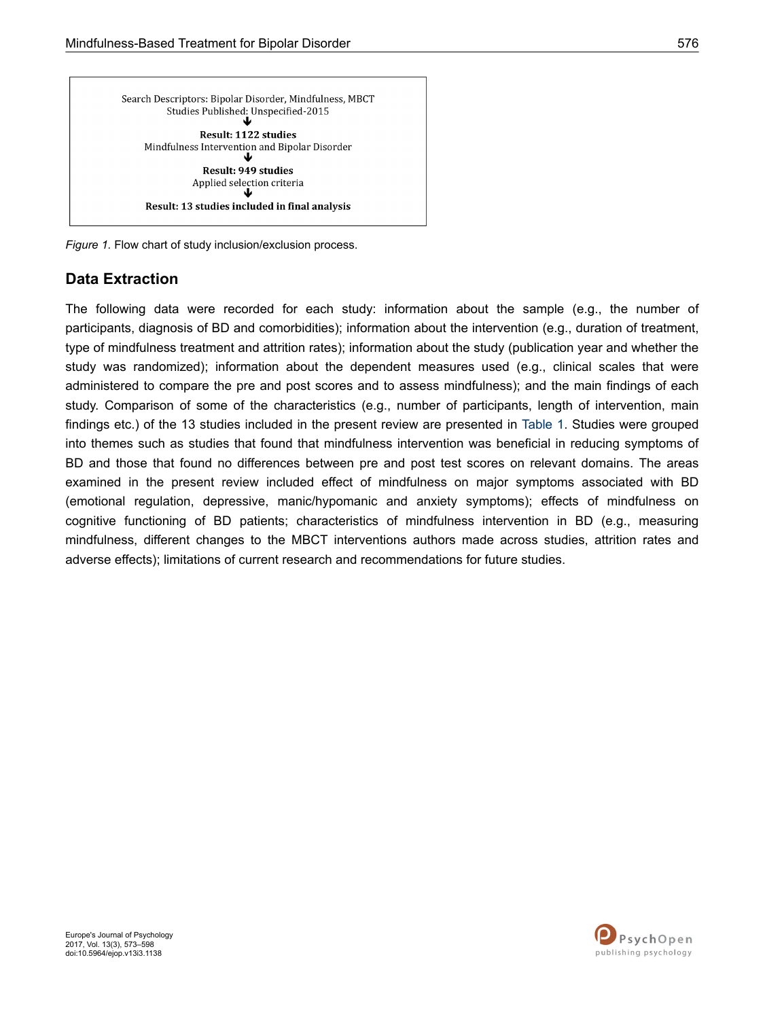<span id="page-3-0"></span>

*Figure 1.* Flow chart of study inclusion/exclusion process.

### **Data Extraction**

The following data were recorded for each study: information about the sample (e.g., the number of participants, diagnosis of BD and comorbidities); information about the intervention (e.g., duration of treatment, type of mindfulness treatment and attrition rates); information about the study (publication year and whether the study was randomized); information about the dependent measures used (e.g., clinical scales that were administered to compare the pre and post scores and to assess mindfulness); and the main findings of each study. Comparison of some of the characteristics (e.g., number of participants, length of intervention, main findings etc.) of the 13 studies included in the present review are presented in [Table 1](#page-4-0). Studies were grouped into themes such as studies that found that mindfulness intervention was beneficial in reducing symptoms of BD and those that found no differences between pre and post test scores on relevant domains. The areas examined in the present review included effect of mindfulness on major symptoms associated with BD (emotional regulation, depressive, manic/hypomanic and anxiety symptoms); effects of mindfulness on cognitive functioning of BD patients; characteristics of mindfulness intervention in BD (e.g., measuring mindfulness, different changes to the MBCT interventions authors made across studies, attrition rates and adverse effects); limitations of current research and recommendations for future studies.

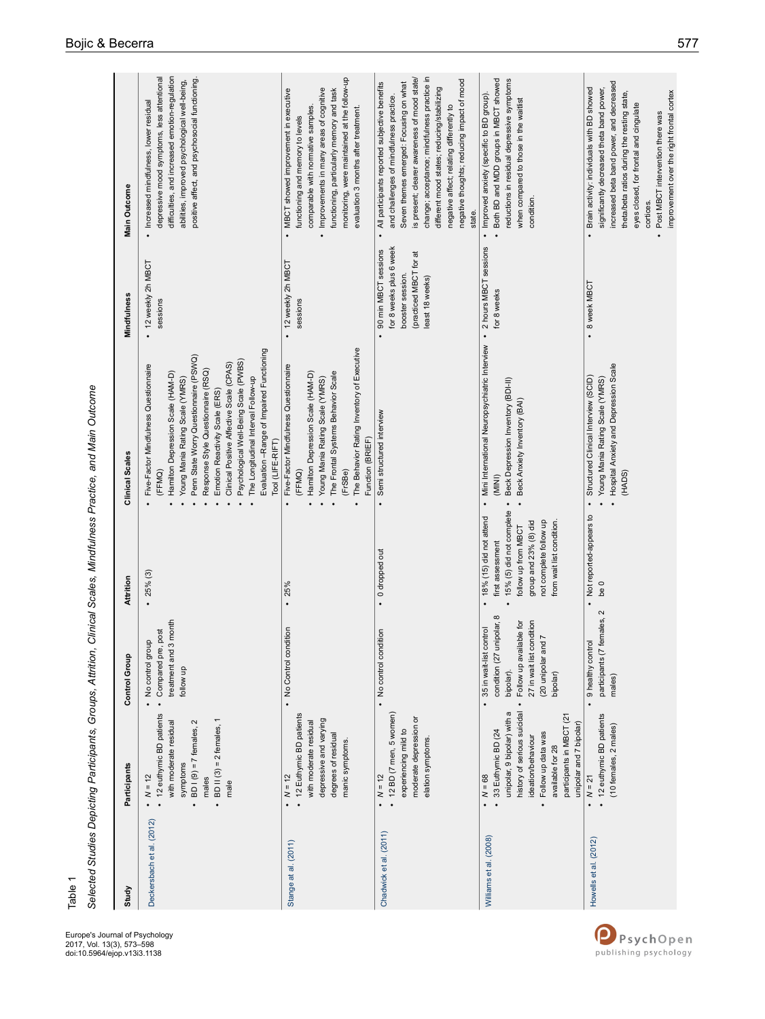<span id="page-4-0"></span>

| Study                     | <b>Participants</b>                                                                                                                                                                                                              | Control Group                                                                                                                                                                       | Attrition                                                                                                                                                                      | Clinical Scales                                                                                                                                                                                                                                                                                                                                                                                                                       | Mindfulness                                                                                                                              | Main Outcome                                                                                                                                                                                                                                                                                                                                                                                    |
|---------------------------|----------------------------------------------------------------------------------------------------------------------------------------------------------------------------------------------------------------------------------|-------------------------------------------------------------------------------------------------------------------------------------------------------------------------------------|--------------------------------------------------------------------------------------------------------------------------------------------------------------------------------|---------------------------------------------------------------------------------------------------------------------------------------------------------------------------------------------------------------------------------------------------------------------------------------------------------------------------------------------------------------------------------------------------------------------------------------|------------------------------------------------------------------------------------------------------------------------------------------|-------------------------------------------------------------------------------------------------------------------------------------------------------------------------------------------------------------------------------------------------------------------------------------------------------------------------------------------------------------------------------------------------|
| Deckersbach et al. (2012) | 12 euthymic BD patients<br>BD II $(3) = 2$ females, 1<br>$BDI(9) = 7$ females, 2<br>with moderate residual<br>symptoms<br>$N = 12$<br>males<br>male<br>$\bullet$                                                                 | 3 month<br>post<br>$\overline{a}$<br>No control grou<br>Compared pre,<br>treatment and<br>follow up                                                                                 | 25% (3)                                                                                                                                                                        | Evaluation -Range of Impaired Functioning<br>Penn State Worry Questionnaire (PSWQ)<br>Psychological Well-Being Scale (PWBS)<br>Clinical Positive Affective Scale (CPAS)<br>Five-Factor Mindfulness Questionnaire<br>Response Style Questionnaire (RSQ)<br>Hamilton Depression Scale (HAM-D)<br>The Longitudinal Interval Follow-up<br>Young Mania Rating Scale (YMRS)<br>Emotion Reactivity Scale (ERS)<br>Tool (LIFE-RIFT)<br>(FFMQ) | 12 weekly 2h MBCT<br>sessions                                                                                                            | difficulties, and increased emotion-regulation<br>depressive mood symptoms, less attentional<br>positive affect, and psychosocial functioning.<br>abilities, improved psychological well-being,<br>Increased mindfulness, lower residual                                                                                                                                                        |
| Stange at al. (2011)      | - 12 Euthymic BD patients<br>depressive and varying<br>with moderate residual<br>degrees of residual<br>manic symptoms<br>$N = 12$<br>$\bullet$                                                                                  | • No Control condition                                                                                                                                                              | 25%                                                                                                                                                                            | The Behavior Rating Inventory of Executive<br>Five-Factor Mindfulness Questionnaire<br>Hamilton Depression Scale (HAM-D)<br>The Frontal Systems Behavior Scale<br>Young Mania Rating Scale (YMRS)<br>Function (BRIEF)<br>(FFMQ)<br>(FrSBe)                                                                                                                                                                                            | 12 weekly 2h MBCT<br>sessions<br>$\ddot{\phantom{0}}$                                                                                    | monitoring, were maintained at the follow-up<br>MBCT showed improvement in executive<br>Improvements in many areas of cognitive<br>functioning, particularly memory and task<br>comparable with normative samples.<br>evaluation 3 months after treatment.<br>functioning and memory to levels<br>$\bullet$                                                                                     |
| Chadwick et al. (2011)    | 12 BD (7 men, 5 women)<br>moderate depression or<br>experiencing mild to<br>elation symptoms.<br>$M = 12$<br>$\ddot{\phantom{0}}$                                                                                                | • No control condition                                                                                                                                                              | • 0 dropped out                                                                                                                                                                | Semi structured interview                                                                                                                                                                                                                                                                                                                                                                                                             | for 8 weeks plus 6 week<br>90 min MBCT sessions<br>(practiced MBCT for at<br>booster session.<br>least 18 weeks)<br>$\ddot{\phantom{0}}$ | change; acceptance; mindfulness practice in<br>is present; clearer awareness of mood state/<br>negative thoughts; reducing impact of mood<br>All participants reported subjective benefits<br>Seven themes emerged: Focusing on what<br>different mood states; reducing/stabilizing<br>and challenges of mindfulness practice.<br>negative affect; relating differently to<br>state.<br>$\cdot$ |
| Williams et al. (2008)    | history of serious suicidal<br>unipolar, 9 bipolar) with a<br>participants in MBCT (21<br>unipolar and 7 bipolar)<br>33 Euthymic BD (24<br>Follow up data was<br>ideation/behaviour<br>available for 28<br>$M = 68$<br>$\bullet$ | condition (27 unipolar, 8<br>27 in wait list condition<br>Follow up available for<br>35 in wait-list control<br>(20 unipolar and 7<br>bipolar).<br>bipolar)<br>$\ddot{\phantom{0}}$ | 15% (5) did not complete<br>18% (15) did not attend<br>not complete follow up<br>from wait list condition.<br>group and 23% (8) did<br>follow up from MBCT<br>first assessment | Mini International Neuropsychiatric Interview<br>Beck Depression Inventory (BDI-II)<br>Beck Anxiety Inventory (BAI)<br>(MINI)<br>$\bullet$                                                                                                                                                                                                                                                                                            | 2 hours MBCT sessions<br>for 8 weeks<br>$\cdot$                                                                                          | Both BD and MDD groups in MBCT showed<br>reductions in residual depressive symptoms<br>Improved anxiety (specific to BD group).<br>when compared to those in the waitlist<br>condition.<br>$\ddot{\phantom{0}}$                                                                                                                                                                                 |
| Howells et al. (2012)     | • 12 euthymic BD patients<br>$(10$ females, $2$ males)<br>$N = 21$                                                                                                                                                               | females, 2<br>9 healthy control<br>participants (7<br>males)                                                                                                                        | Not reported-appears to<br>be 0                                                                                                                                                | Hospital Anxiety and Depression Scale<br>Structured Clinical Interview (SCID)<br>Young Mania Rating Scale (YMRS)<br>(HADS)                                                                                                                                                                                                                                                                                                            | 8 week MBCT<br>$\bullet$                                                                                                                 | increased beta band power, and decreased<br>Brain activity: individuals with BD showed<br>significantly decreased theta band power,<br>improvement over the right frontal cortex<br>theta/beta ratios during the resting state,<br>eyes closed, for frontal and cingulate<br>Post MBCT intervention there was<br>cortices.                                                                      |

Selected Studies Depicting Participants, Groups, Attrition, Clinical Scales, Mindfulness Practice, and Main Outcome *Selected Studies Depicting Participants, Groups, Attrition, Clinical Scales, Mindfulness Practice, and Main Outcome*

Table 1

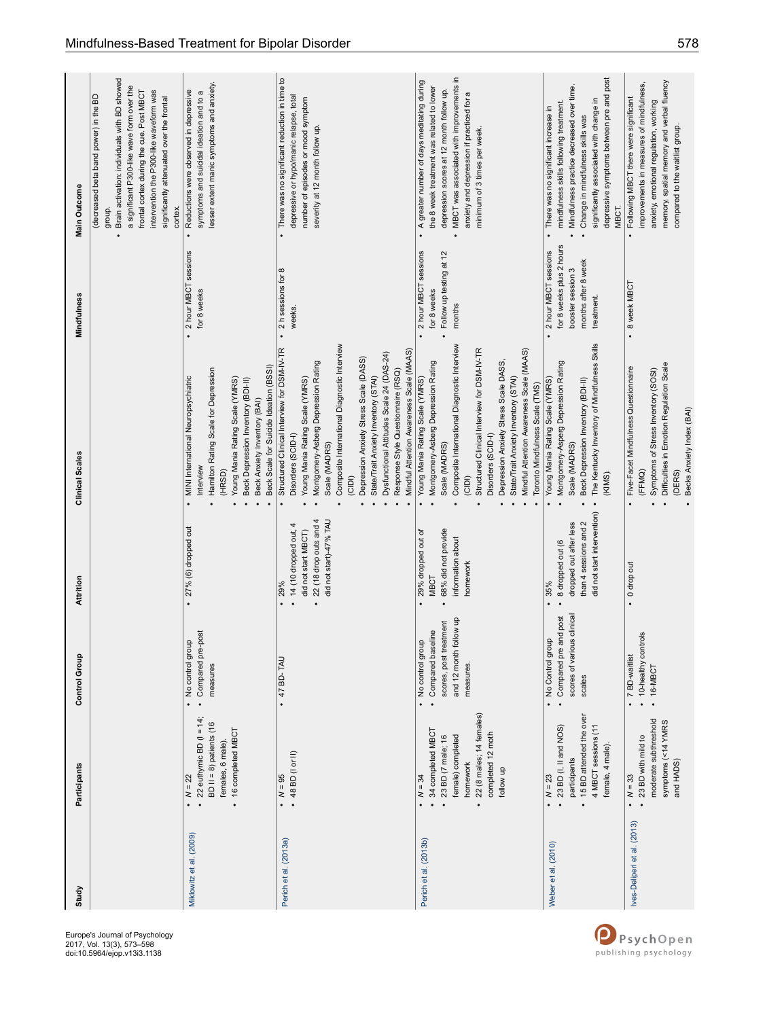| Study                       | Participants                                                                                                                                      | Control Group                                                                                            | Attrition                                                                                                          | Clinical Scales                                                                                                                                                                                                                                                                                                                                                                                                                        | Mindfulness                                                                                                | Main Outcome                                                                                                                                                                                                                                                                                 |
|-----------------------------|---------------------------------------------------------------------------------------------------------------------------------------------------|----------------------------------------------------------------------------------------------------------|--------------------------------------------------------------------------------------------------------------------|----------------------------------------------------------------------------------------------------------------------------------------------------------------------------------------------------------------------------------------------------------------------------------------------------------------------------------------------------------------------------------------------------------------------------------------|------------------------------------------------------------------------------------------------------------|----------------------------------------------------------------------------------------------------------------------------------------------------------------------------------------------------------------------------------------------------------------------------------------------|
|                             |                                                                                                                                                   |                                                                                                          |                                                                                                                    |                                                                                                                                                                                                                                                                                                                                                                                                                                        |                                                                                                            | Brain activation: individuals with BD showed<br>a significant P300-like wave form over the<br>intervention the P300-like waveform was<br>frontal cortex during the cue. Post MBCT<br>(decreased beta band power) in the BD<br>significantly attenuated over the frontal<br>cortex.<br>group. |
| Miklowitz et al. (2009)     | 22 euthymic BD $(1 = 14)$<br>$BD II = 8$ ) patients (16<br>16 completed MBCT<br>females, 6 male).<br>$N = 22$<br>$\ddot{\phantom{0}}$             | post<br>$\overline{a}$<br>No control grou<br>Compared pre-<br>measures<br>$\ddot{\phantom{0}}$           | 27% (6) dropped out<br>$\cdot$                                                                                     | Beck Scale for Suicide Ideation (BSSI)<br>Hamilton Rating Scale for Depression<br><b>MINI</b> International Neuropsychiatric<br>Young Mania Rating Scale (YMRS)<br>Beck Depression Inventory (BDI-II)<br>Beck Anxiety Inventory (BAI)<br>Interview<br>(HRSD)<br>$\bullet$                                                                                                                                                              | 2 hour MBCT sessions<br>for 8 weeks<br>$\bullet$                                                           | lesser extent manic symptoms and anxiety<br>Reductions were observed in depressive<br>symptoms and suicidal ideation and to a<br>$\bullet$                                                                                                                                                   |
| Perich et al. (2013a)       | $\cdot$ 48 BD (l or II)<br>$\bullet$ $N = 95$                                                                                                     | + 47 BD-TAU                                                                                              | 22 (18 drop outs and 4<br>did not start)-47% TAU<br>14 (10 dropped out, 4<br>did not start MBCT)<br>29%<br>$\cdot$ | Composite International Diagnostic Interview<br>Structured Clinical Interview for DSM-IV-TR<br>Mindful Attention Awareness Scale (MAAS)<br>Dysfunctional Attitudes Scale 24 (DAS-24)<br>Depression Anxiety Stress Scale (DASS)<br>Montgomery-Asberg Depression Rating<br>Response Style Questionnaire (RSQ)<br>State/Trait Anxiety Inventory (STAI)<br>Young Mania Rating Scale (YMRS)<br>Disorders (SCID-I)<br>Scale (MADRS)<br>(CID) | 2 h sessions for 8<br>weeks.<br>$\cdot$                                                                    | There was no significant reduction in time to<br>depressive or hypo/manic relapse, total<br>number of episodes or mood symptom<br>severity at 12 month follow up.<br>$\bullet$                                                                                                               |
| Perich et al. (2013b)       | 22 (8 males; 14 females)<br>34 completed MBCT<br>completed 12 moth<br>female) completed<br>23 BD (7 male; 16<br>homework<br>follow up<br>$N = 34$ | and 12 month follow up<br>scores, post treatment<br>Compared baseline<br>• No control group<br>measures. | 68% did not provide<br>29% dropped out of<br>information about<br>homework<br><b>MBCT</b>                          | Composite International Diagnostic Interview<br>Structured Clinical Interview for DSM-IV-TR<br>Mindful Attention Awareness Scale (MAAS)<br>Depression Anxiety Stress Scale DASS<br>Montgomery-Asberg Depression Rating<br>Young Mania Rating Scale (YMRS)<br>State/Trait Anxiety Inventory (STAI)<br>Toronto Mindfulness Scale (TMS)<br>Disorders (SCID-I)<br>Scale (MADRS)<br>(CID)                                                   | 2 hour MBCT sessions<br>Follow up testing at 12<br>for 8 weeks<br>months                                   | MBCT was associated with improvements in<br>A greater number of days meditating during<br>the 8 week treatment was related to lower<br>depression scores at 12 month follow up.<br>anxiety and depression if practiced for a<br>minimum of 3 times per week.<br>$\bullet$                    |
| Weber et al. (2010)         | 15 BD attended the over<br>23 BD (I, II and NOS)<br>4 MBCT sessions (11<br>female, 4 male).<br>participants<br>$N = 23$                           | scores of various clinica<br>• Compared pre and post<br>No Control group<br>scales                       | did not start intervention)<br>than 4 sessions and 2<br>dropped out after less<br>8 dropped out (6<br>35%          | The Kentucky Inventory of Mindfulness Skills<br>Montgomery-Asperg Depression Rating<br>Young Mania Rating Scale (YMRS)<br>Beck Depression Inventory (BDI-II)<br>Scale (MADRS)<br>(KIMS).                                                                                                                                                                                                                                               | for 8 weeks plus 2 hours<br>2 hour MBCT sessions<br>months after 8 week<br>booster session 3<br>treatment. | depressive symptoms between pre and post<br>Mindfulness practice decreased over time.<br>significantly associated with change in<br>mindfulness skills following treatment<br>There was no significant increase in<br>Change in mindfulness skills was<br>MBCT.                              |
| Ives-Deliperi et al. (2013) | moderate subthreshold<br>symptoms (<14 YMRS<br>23 BD with mild to<br>and HADS)<br>$N = 33$                                                        | • 10-healthy controls<br>7 BD-waitlist<br>$.16-MBCT$                                                     | 0 drop out                                                                                                         | Difficulties in Emotion Regulation Scale<br>Five-Facet Mindfulness Questionnaire<br>Symptoms of Stress Inventory (SOSI)<br>Becks Anxiety Index (BAI)<br>(FFMQ)<br>(DERS)                                                                                                                                                                                                                                                               | 8 week MBCT<br>$\bullet$                                                                                   | memory, spatial memory and verbal fluency<br>improvements in measures of mindfulness,<br>Following MBCT there were significant<br>anxiety, emotional regulation, working<br>compared to the waitlist group.                                                                                  |

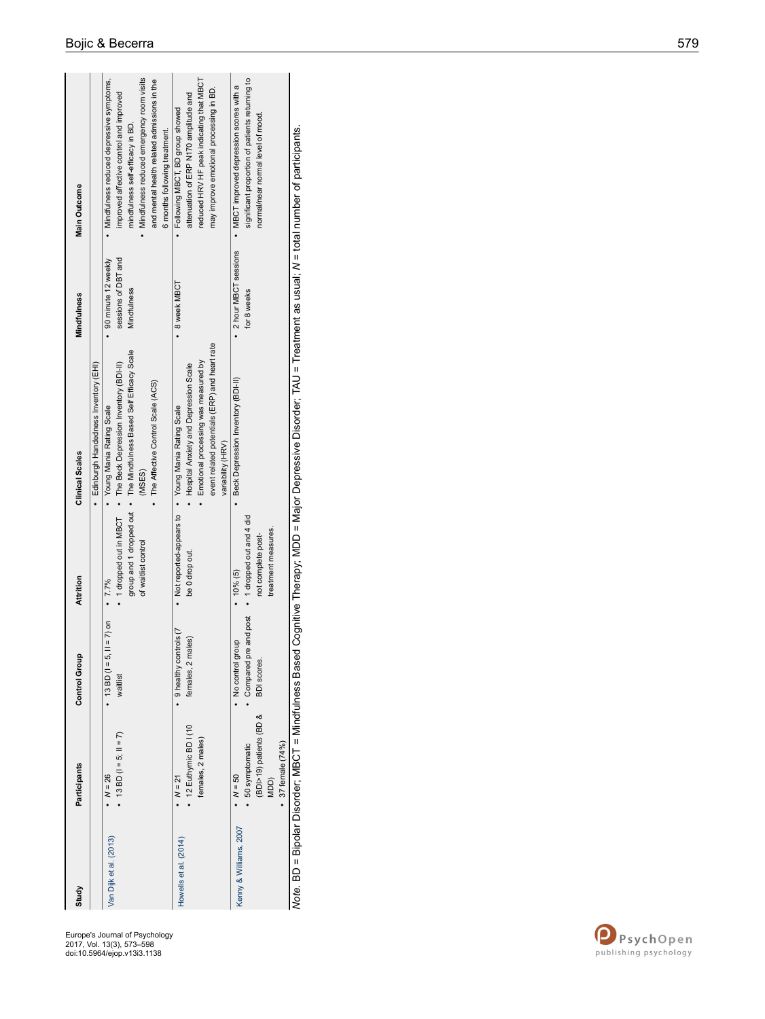| Study                  | <b>Participants</b>                                   | <b>Control Group</b>                    | Attrition                 | Clinical Scales                                                                                                | Mindfulness          | <b>Main Outcome</b>                             |
|------------------------|-------------------------------------------------------|-----------------------------------------|---------------------------|----------------------------------------------------------------------------------------------------------------|----------------------|-------------------------------------------------|
|                        |                                                       |                                         |                           | Edinburgh Handedness Inventory (EHI)                                                                           |                      |                                                 |
| Van Dijk et al. (2013) | $N = 26$                                              | $= 7$ ) on<br>$\cdot$ 13 BD ( $=$ 5, II | $.77\%$                   | Young Mania Rating Scale                                                                                       | 90 minute 12 weekly  | Mindfulness reduced depressive symptoms,        |
|                        | • 13 BD $(1 = 5; 11 = 7)$                             | waitlist                                |                           | • 1 dropped out in MBCT • The Beck Depression Inventory (BDI-II)                                               | sessions of DBT and  | improved affective control and improved         |
|                        |                                                       |                                         |                           | group and 1 dropped out . The Mindfulness Based Self Efficacy Scale                                            | Mindfulness          | mindfulness self-efficacy in BD.                |
|                        |                                                       |                                         | of waitlist control       | (MSES)                                                                                                         |                      | Mindfulness reduced emergency room visits       |
|                        |                                                       |                                         |                           | • The Affective Control Scale (ACS)                                                                            |                      | and mental health related admissions in the     |
|                        |                                                       |                                         |                           |                                                                                                                |                      | 6 months following treatment.                   |
| Howells et al. (2014)  | $M = 21$                                              | 9 healthy controls (7                   |                           | Not reported-appears to • Young Mania Rating Scale                                                             | 8 week MBCT          | Following MBCT, BD group showed                 |
|                        | $\cdot$ 12 Euthymic BD I (10                          | females, 2 males)                       | be 0 drop out.            | Hospital Anxiety and Depression Scale                                                                          |                      | attenuation of ERP N170 amplitude and           |
|                        | females, 2 males)                                     |                                         |                           | Emotional processing was measured by                                                                           |                      | reduced HRV HF peak indicating that MBCT        |
|                        |                                                       |                                         |                           | event related potentials (ERP) and heart rate                                                                  |                      | may improve emotional processing in BD.         |
|                        |                                                       |                                         |                           | variability (HRV)                                                                                              |                      |                                                 |
| Kenny & Williams, 2007 | $N = 50$                                              | . No control grou                       | $10%$ (5)                 | Beck Depression Inventory (BDI-II)                                                                             | 2 hour MBCT sessions | • MBCT improved depression scores with a        |
|                        | 50 symptomatic                                        | and post<br>· Compared pre              | • 1 dropped out and 4 did |                                                                                                                | for 8 weeks          | significant proportion of patients returning to |
|                        | (BDI>19) patients (BD &                               | BDI scores.                             | not complete post-        |                                                                                                                |                      | normal/near normal level of mood.               |
|                        | MDD)                                                  |                                         | treatment measures.       |                                                                                                                |                      |                                                 |
|                        | 37 female (74%)                                       |                                         |                           |                                                                                                                |                      |                                                 |
|                        | Note. BD = Bipolar Disorder; MBCT = Mindfulness Based |                                         |                           | Cognitive Therapy; MDD = Major Depressive Disorder; TAU = Treatment as usual; N = total number of participants |                      |                                                 |

Europe's Journal of Psychology 2017, Vol. 13(3), 573–598 doi:10.5964/ejop.v13i3.1138

PsychOpen<br>publishing psychology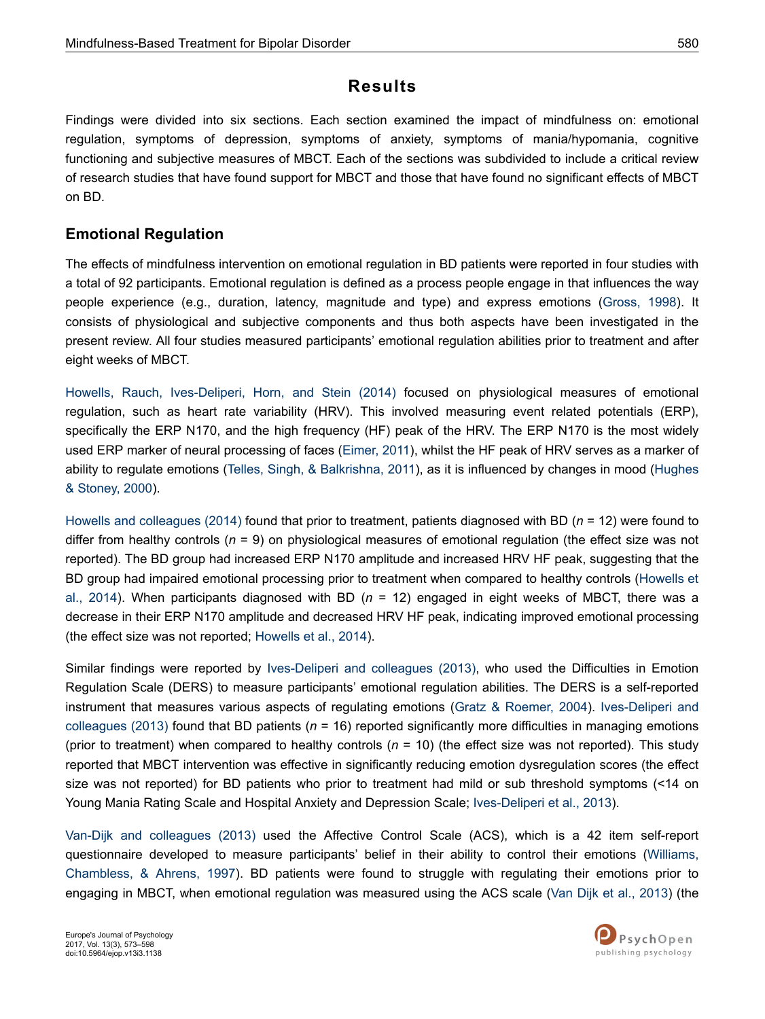## **Results**

Findings were divided into six sections. Each section examined the impact of mindfulness on: emotional regulation, symptoms of depression, symptoms of anxiety, symptoms of mania/hypomania, cognitive functioning and subjective measures of MBCT. Each of the sections was subdivided to include a critical review of research studies that have found support for MBCT and those that have found no significant effects of MBCT on BD.

### **Emotional Regulation**

The effects of mindfulness intervention on emotional regulation in BD patients were reported in four studies with a total of 92 participants. Emotional regulation is defined as a process people engage in that influences the way people experience (e.g., duration, latency, magnitude and type) and express emotions [\(Gross, 1998\)](#page-21-0). It consists of physiological and subjective components and thus both aspects have been investigated in the present review. All four studies measured participants' emotional regulation abilities prior to treatment and after eight weeks of MBCT.

[Howells, Rauch, Ives-Deliperi, Horn, and Stein \(2014\)](#page-21-0) focused on physiological measures of emotional regulation, such as heart rate variability (HRV). This involved measuring event related potentials (ERP), specifically the ERP N170, and the high frequency (HF) peak of the HRV. The ERP N170 is the most widely used ERP marker of neural processing of faces ([Eimer, 2011](#page-21-0)), whilst the HF peak of HRV serves as a marker of ability to regulate emotions [\(Telles, Singh, & Balkrishna, 2011\)](#page-24-0), as it is influenced by changes in mood ([Hughes](#page-21-0) [& Stoney, 2000\)](#page-21-0).

[Howells and colleagues \(2014\)](#page-21-0) found that prior to treatment, patients diagnosed with BD (*n* = 12) were found to differ from healthy controls (*n* = 9) on physiological measures of emotional regulation (the effect size was not reported). The BD group had increased ERP N170 amplitude and increased HRV HF peak, suggesting that the BD group had impaired emotional processing prior to treatment when compared to healthy controls ([Howells et](#page-21-0) [al., 2014](#page-21-0)). When participants diagnosed with BD (*n* = 12) engaged in eight weeks of MBCT, there was a decrease in their ERP N170 amplitude and decreased HRV HF peak, indicating improved emotional processing (the effect size was not reported; [Howells et al., 2014\)](#page-21-0).

Similar findings were reported by [Ives-Deliperi and colleagues \(2013\),](#page-21-0) who used the Difficulties in Emotion Regulation Scale (DERS) to measure participants' emotional regulation abilities. The DERS is a self-reported instrument that measures various aspects of regulating emotions [\(Gratz & Roemer, 2004\)](#page-21-0). [Ives-Deliperi and](#page-21-0) [colleagues \(2013\)](#page-21-0) found that BD patients (*n* = 16) reported significantly more difficulties in managing emotions (prior to treatment) when compared to healthy controls (*n* = 10) (the effect size was not reported). This study reported that MBCT intervention was effective in significantly reducing emotion dysregulation scores (the effect size was not reported) for BD patients who prior to treatment had mild or sub threshold symptoms (<14 on Young Mania Rating Scale and Hospital Anxiety and Depression Scale; [Ives-Deliperi et al., 2013](#page-21-0)).

[Van-Dijk and colleagues \(2013\)](#page-24-0) used the Affective Control Scale (ACS), which is a 42 item self-report questionnaire developed to measure participants' belief in their ability to control their emotions [\(Williams,](#page-25-0) [Chambless, & Ahrens, 1997](#page-25-0)). BD patients were found to struggle with regulating their emotions prior to engaging in MBCT, when emotional regulation was measured using the ACS scale [\(Van Dijk et al., 2013](#page-24-0)) (the

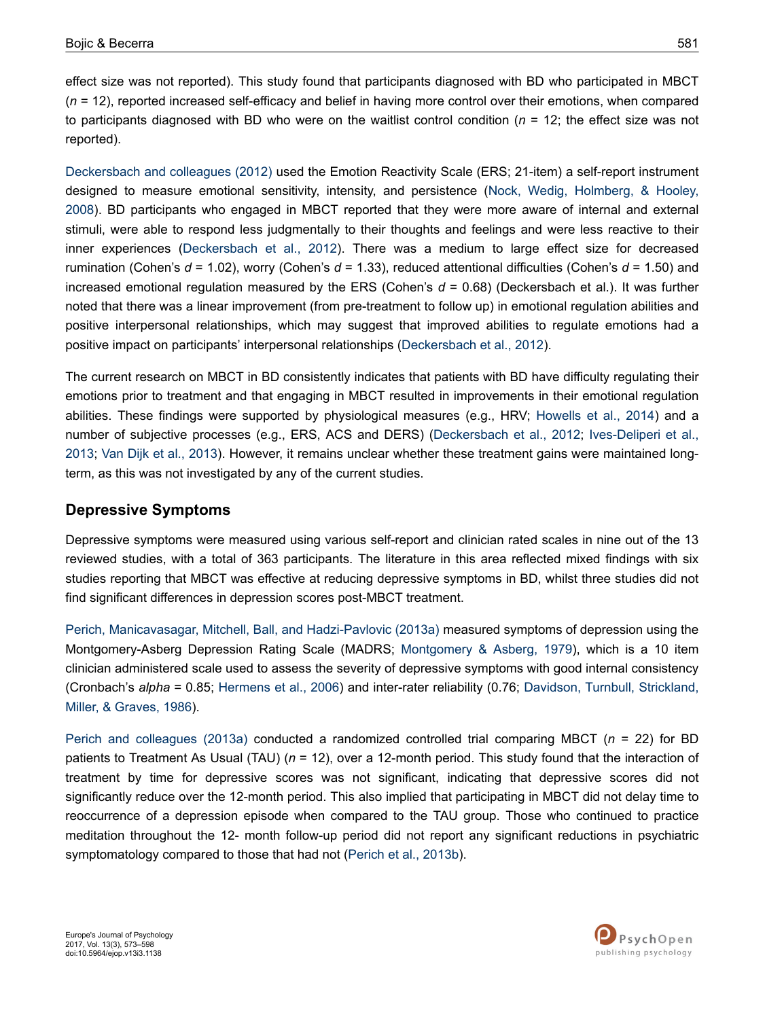effect size was not reported). This study found that participants diagnosed with BD who participated in MBCT (*n* = 12), reported increased self-efficacy and belief in having more control over their emotions, when compared to participants diagnosed with BD who were on the waitlist control condition (*n* = 12; the effect size was not reported).

[Deckersbach and colleagues \(2012\)](#page-20-0) used the Emotion Reactivity Scale (ERS; 21-item) a self-report instrument designed to measure emotional sensitivity, intensity, and persistence [\(Nock, Wedig, Holmberg, & Hooley,](#page-23-0) [2008](#page-23-0)). BD participants who engaged in MBCT reported that they were more aware of internal and external stimuli, were able to respond less judgmentally to their thoughts and feelings and were less reactive to their inner experiences [\(Deckersbach et al., 2012\)](#page-20-0). There was a medium to large effect size for decreased rumination (Cohen's *d* = 1.02), worry (Cohen's *d* = 1.33), reduced attentional difficulties (Cohen's *d* = 1.50) and increased emotional regulation measured by the ERS (Cohen's *d* = 0.68) (Deckersbach et al.). It was further noted that there was a linear improvement (from pre-treatment to follow up) in emotional regulation abilities and positive interpersonal relationships, which may suggest that improved abilities to regulate emotions had a positive impact on participants' interpersonal relationships ([Deckersbach et al., 2012](#page-20-0)).

The current research on MBCT in BD consistently indicates that patients with BD have difficulty regulating their emotions prior to treatment and that engaging in MBCT resulted in improvements in their emotional regulation abilities. These findings were supported by physiological measures (e.g., HRV; [Howells et al., 2014\)](#page-21-0) and a number of subjective processes (e.g., ERS, ACS and DERS) ([Deckersbach et al., 2012](#page-20-0); [Ives-Deliperi et al.,](#page-21-0) [2013](#page-21-0); [Van Dijk et al., 2013](#page-24-0)). However, it remains unclear whether these treatment gains were maintained longterm, as this was not investigated by any of the current studies.

### **Depressive Symptoms**

Depressive symptoms were measured using various self-report and clinician rated scales in nine out of the 13 reviewed studies, with a total of 363 participants. The literature in this area reflected mixed findings with six studies reporting that MBCT was effective at reducing depressive symptoms in BD, whilst three studies did not find significant differences in depression scores post-MBCT treatment.

[Perich, Manicavasagar, Mitchell, Ball, and Hadzi-Pavlovic \(2013a\)](#page-23-0) measured symptoms of depression using the Montgomery-Asberg Depression Rating Scale (MADRS; [Montgomery & Asberg, 1979\)](#page-23-0), which is a 10 item clinician administered scale used to assess the severity of depressive symptoms with good internal consistency (Cronbach's *alpha* = 0.85; [Hermens et al., 2006](#page-21-0)) and inter-rater reliability (0.76; [Davidson, Turnbull, Strickland,](#page-20-0) [Miller, & Graves, 1986](#page-20-0)).

[Perich and colleagues \(2013a\)](#page-23-0) conducted a randomized controlled trial comparing MBCT (*n* = 22) for BD patients to Treatment As Usual (TAU) (*n* = 12), over a 12-month period. This study found that the interaction of treatment by time for depressive scores was not significant, indicating that depressive scores did not significantly reduce over the 12-month period. This also implied that participating in MBCT did not delay time to reoccurrence of a depression episode when compared to the TAU group. Those who continued to practice meditation throughout the 12- month follow-up period did not report any significant reductions in psychiatric symptomatology compared to those that had not [\(Perich et al., 2013b](#page-23-0)).

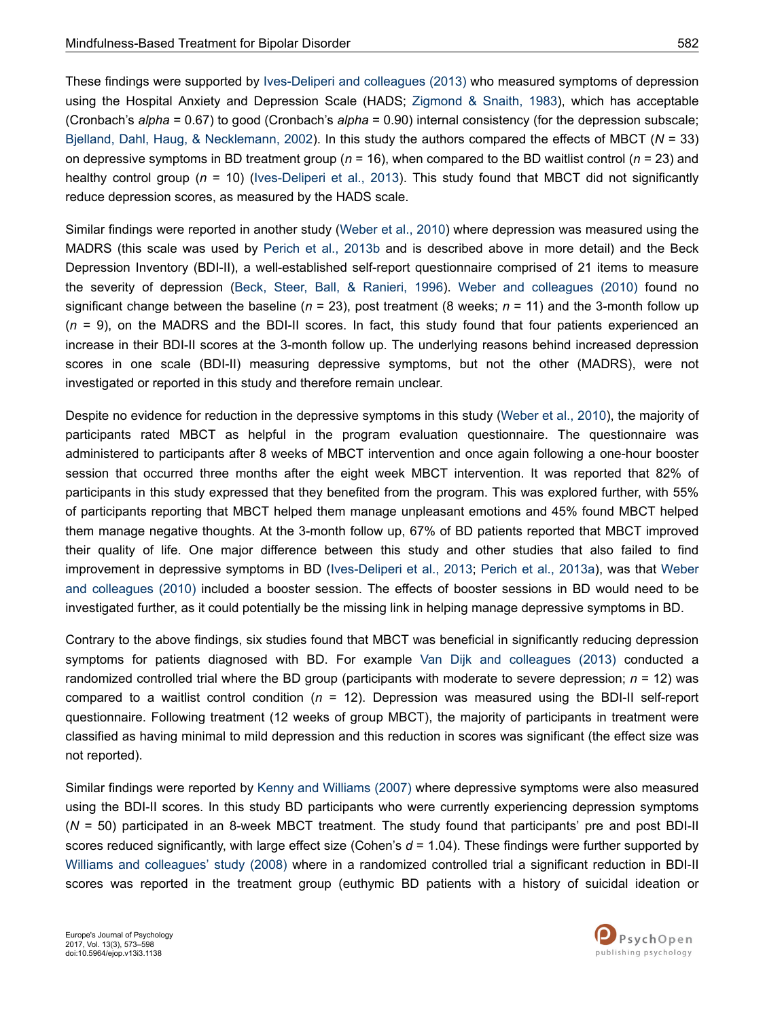These findings were supported by [Ives-Deliperi and colleagues \(2013\)](#page-21-0) who measured symptoms of depression using the Hospital Anxiety and Depression Scale (HADS; [Zigmond & Snaith, 1983](#page-25-0)), which has acceptable (Cronbach's *alpha* = 0.67) to good (Cronbach's *alpha* = 0.90) internal consistency (for the depression subscale; [Bjelland, Dahl, Haug, & Necklemann, 2002\)](#page-19-0). In this study the authors compared the effects of MBCT (*N* = 33) on depressive symptoms in BD treatment group (*n* = 16), when compared to the BD waitlist control (*n* = 23) and healthy control group (*n* = 10) [\(Ives-Deliperi et al., 2013\)](#page-21-0). This study found that MBCT did not significantly reduce depression scores, as measured by the HADS scale.

Similar findings were reported in another study ([Weber et al., 2010\)](#page-25-0) where depression was measured using the MADRS (this scale was used by [Perich et al., 2013b](#page-23-0) and is described above in more detail) and the Beck Depression Inventory (BDI-II), a well-established self-report questionnaire comprised of 21 items to measure the severity of depression ([Beck, Steer, Ball, & Ranieri, 1996](#page-19-0)). [Weber and colleagues \(2010\)](#page-25-0) found no significant change between the baseline (*n* = 23), post treatment (8 weeks; *n* = 11) and the 3-month follow up (*n* = 9), on the MADRS and the BDI-II scores. In fact, this study found that four patients experienced an increase in their BDI-II scores at the 3-month follow up. The underlying reasons behind increased depression scores in one scale (BDI-II) measuring depressive symptoms, but not the other (MADRS), were not investigated or reported in this study and therefore remain unclear.

Despite no evidence for reduction in the depressive symptoms in this study [\(Weber et al., 2010](#page-25-0)), the majority of participants rated MBCT as helpful in the program evaluation questionnaire. The questionnaire was administered to participants after 8 weeks of MBCT intervention and once again following a one-hour booster session that occurred three months after the eight week MBCT intervention. It was reported that 82% of participants in this study expressed that they benefited from the program. This was explored further, with 55% of participants reporting that MBCT helped them manage unpleasant emotions and 45% found MBCT helped them manage negative thoughts. At the 3-month follow up, 67% of BD patients reported that MBCT improved their quality of life. One major difference between this study and other studies that also failed to find improvement in depressive symptoms in BD ([Ives-Deliperi et al., 2013](#page-21-0); [Perich et al., 2013a](#page-23-0)), was that [Weber](#page-25-0) [and colleagues \(2010\)](#page-25-0) included a booster session. The effects of booster sessions in BD would need to be investigated further, as it could potentially be the missing link in helping manage depressive symptoms in BD.

Contrary to the above findings, six studies found that MBCT was beneficial in significantly reducing depression symptoms for patients diagnosed with BD. For example [Van Dijk and colleagues \(2013\)](#page-24-0) conducted a randomized controlled trial where the BD group (participants with moderate to severe depression; *n* = 12) was compared to a waitlist control condition (*n* = 12). Depression was measured using the BDI-II self-report questionnaire. Following treatment (12 weeks of group MBCT), the majority of participants in treatment were classified as having minimal to mild depression and this reduction in scores was significant (the effect size was not reported).

Similar findings were reported by [Kenny and Williams \(2007\)](#page-22-0) where depressive symptoms were also measured using the BDI-II scores. In this study BD participants who were currently experiencing depression symptoms (*N* = 50) participated in an 8-week MBCT treatment. The study found that participants' pre and post BDI-II scores reduced significantly, with large effect size (Cohen's *d* = 1.04). These findings were further supported by [Williams and colleagues' study \(2008\)](#page-25-0) where in a randomized controlled trial a significant reduction in BDI-II scores was reported in the treatment group (euthymic BD patients with a history of suicidal ideation or

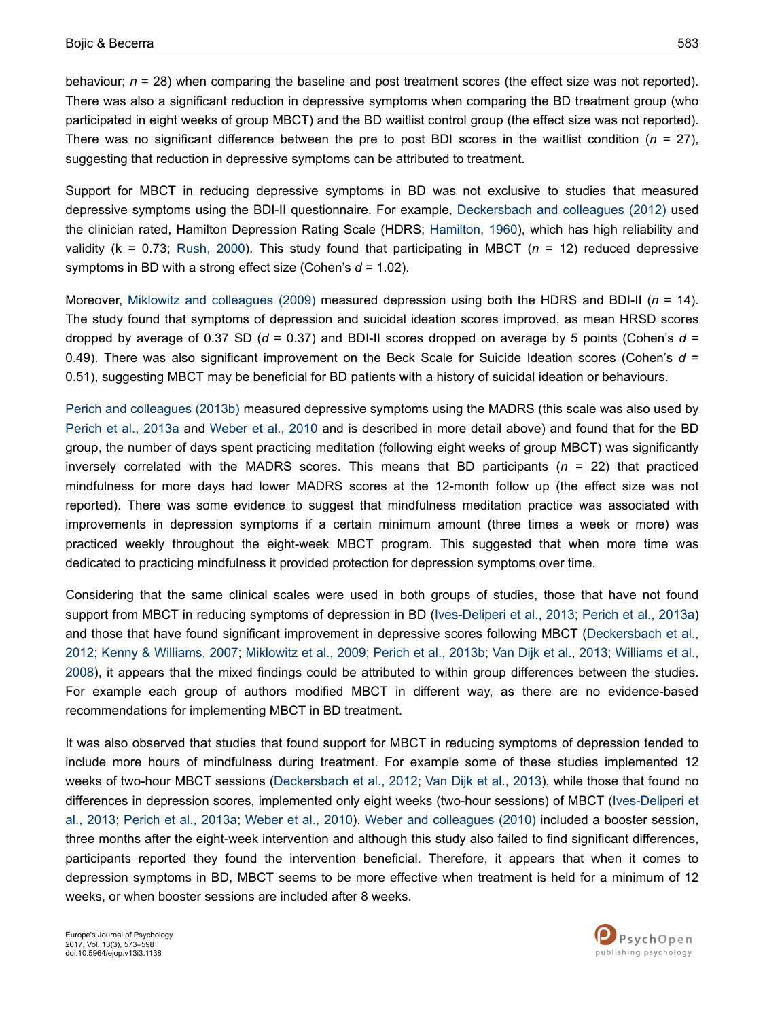behaviour;  $n = 28$ ) when comparing the baseline and post treatment scores (the effect size was not reported). There was also a significant reduction in depressive symptoms when comparing the BD treatment group (who participated in eight weeks of group MBCT) and the BD waitlist control group (the effect size was not reported). There was no significant difference between the pre to post BDI scores in the waitlist condition  $(n = 27)$ , suggesting that reduction in depressive symptoms can be attributed to treatment.

Support for MBCT in reducing depressive symptoms in BD was not exclusive to studies that measured depressive symptoms using the BDI-II questionnaire. For example, [Deckersbach and colleagues \(2012\)](#page-20-0) used the clinician rated, Hamilton Depression Rating Scale (HDRS; [Hamilton, 1960](#page-21-0)), which has high reliability and validity (k = 0.73; [Rush, 2000\)](#page-23-0). This study found that participating in MBCT (*n* = 12) reduced depressive symptoms in BD with a strong effect size (Cohen's *d* = 1.02).

Moreover, [Miklowitz and colleagues \(2009\)](#page-23-0) measured depression using both the HDRS and BDI-II (*n* = 14). The study found that symptoms of depression and suicidal ideation scores improved, as mean HRSD scores dropped by average of 0.37 SD (*d* = 0.37) and BDI-II scores dropped on average by 5 points (Cohen's *d* = 0.49). There was also significant improvement on the Beck Scale for Suicide Ideation scores (Cohen's *d* = 0.51), suggesting MBCT may be beneficial for BD patients with a history of suicidal ideation or behaviours.

[Perich and colleagues \(2013b\)](#page-23-0) measured depressive symptoms using the MADRS (this scale was also used by [Perich et al., 2013a](#page-23-0) and [Weber et al., 2010](#page-25-0) and is described in more detail above) and found that for the BD group, the number of days spent practicing meditation (following eight weeks of group MBCT) was significantly inversely correlated with the MADRS scores. This means that BD participants (*n* = 22) that practiced mindfulness for more days had lower MADRS scores at the 12-month follow up (the effect size was not reported). There was some evidence to suggest that mindfulness meditation practice was associated with improvements in depression symptoms if a certain minimum amount (three times a week or more) was practiced weekly throughout the eight-week MBCT program. This suggested that when more time was dedicated to practicing mindfulness it provided protection for depression symptoms over time.

Considering that the same clinical scales were used in both groups of studies, those that have not found support from MBCT in reducing symptoms of depression in BD ([Ives-Deliperi et al., 2013;](#page-21-0) [Perich et al., 2013a\)](#page-23-0) and those that have found significant improvement in depressive scores following MBCT [\(Deckersbach et al.,](#page-20-0) [2012](#page-20-0); [Kenny & Williams, 2007;](#page-22-0) [Miklowitz et al., 2009;](#page-23-0) [Perich et al., 2013b;](#page-23-0) [Van Dijk et al., 2013](#page-24-0); [Williams et al.,](#page-25-0) [2008](#page-25-0)), it appears that the mixed findings could be attributed to within group differences between the studies. For example each group of authors modified MBCT in different way, as there are no evidence-based recommendations for implementing MBCT in BD treatment.

It was also observed that studies that found support for MBCT in reducing symptoms of depression tended to include more hours of mindfulness during treatment. For example some of these studies implemented 12 weeks of two-hour MBCT sessions [\(Deckersbach et al., 2012](#page-20-0); [Van Dijk et al., 2013\)](#page-24-0), while those that found no differences in depression scores, implemented only eight weeks (two-hour sessions) of MBCT [\(Ives-Deliperi et](#page-21-0) [al., 2013](#page-21-0); [Perich et al., 2013a;](#page-23-0) [Weber et al., 2010\)](#page-25-0). [Weber and colleagues \(2010\)](#page-25-0) included a booster session, three months after the eight-week intervention and although this study also failed to find significant differences, participants reported they found the intervention beneficial. Therefore, it appears that when it comes to depression symptoms in BD, MBCT seems to be more effective when treatment is held for a minimum of 12 weeks, or when booster sessions are included after 8 weeks.

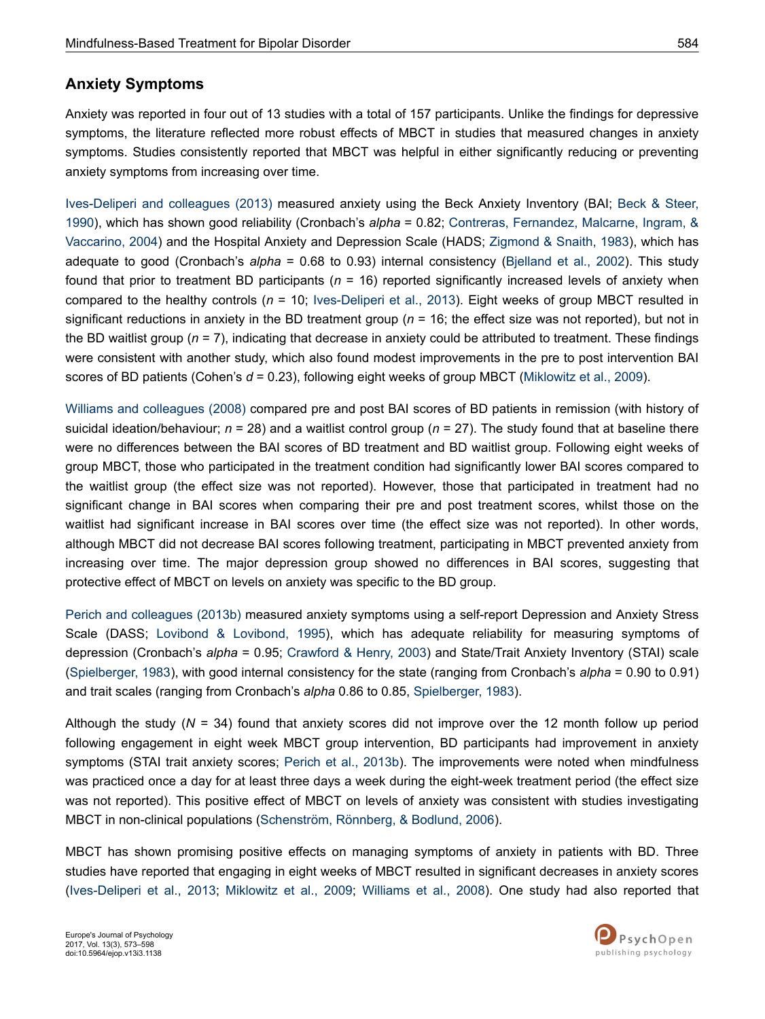### **Anxiety Symptoms**

Anxiety was reported in four out of 13 studies with a total of 157 participants. Unlike the findings for depressive symptoms, the literature reflected more robust effects of MBCT in studies that measured changes in anxiety symptoms. Studies consistently reported that MBCT was helpful in either significantly reducing or preventing anxiety symptoms from increasing over time.

[Ives-Deliperi and colleagues \(2013\)](#page-21-0) measured anxiety using the Beck Anxiety Inventory (BAI; [Beck & Steer,](#page-19-0) [1990](#page-19-0)), which has shown good reliability (Cronbach's *alpha* = 0.82; [Contreras, Fernandez, Malcarne, Ingram, &](#page-20-0) [Vaccarino, 2004](#page-20-0)) and the Hospital Anxiety and Depression Scale (HADS; [Zigmond & Snaith, 1983\)](#page-25-0), which has adequate to good (Cronbach's *alpha* = 0.68 to 0.93) internal consistency [\(Bjelland et al., 2002\)](#page-19-0). This study found that prior to treatment BD participants (*n* = 16) reported significantly increased levels of anxiety when compared to the healthy controls (*n* = 10; [Ives-Deliperi et al., 2013\)](#page-21-0). Eight weeks of group MBCT resulted in significant reductions in anxiety in the BD treatment group  $(n = 16)$ ; the effect size was not reported), but not in the BD waitlist group (*n* = 7), indicating that decrease in anxiety could be attributed to treatment. These findings were consistent with another study, which also found modest improvements in the pre to post intervention BAI scores of BD patients (Cohen's *d* = 0.23), following eight weeks of group MBCT ([Miklowitz et al., 2009\)](#page-23-0).

[Williams and colleagues \(2008\)](#page-25-0) compared pre and post BAI scores of BD patients in remission (with history of suicidal ideation/behaviour; *n* = 28) and a waitlist control group (*n* = 27). The study found that at baseline there were no differences between the BAI scores of BD treatment and BD waitlist group. Following eight weeks of group MBCT, those who participated in the treatment condition had significantly lower BAI scores compared to the waitlist group (the effect size was not reported). However, those that participated in treatment had no significant change in BAI scores when comparing their pre and post treatment scores, whilst those on the waitlist had significant increase in BAI scores over time (the effect size was not reported). In other words, although MBCT did not decrease BAI scores following treatment, participating in MBCT prevented anxiety from increasing over time. The major depression group showed no differences in BAI scores, suggesting that protective effect of MBCT on levels on anxiety was specific to the BD group.

[Perich and colleagues \(2013b\)](#page-23-0) measured anxiety symptoms using a self-report Depression and Anxiety Stress Scale (DASS; [Lovibond & Lovibond, 1995\)](#page-22-0), which has adequate reliability for measuring symptoms of depression (Cronbach's *alpha* = 0.95; [Crawford & Henry, 2003](#page-20-0)) and State/Trait Anxiety Inventory (STAI) scale [\(Spielberger, 1983\)](#page-24-0), with good internal consistency for the state (ranging from Cronbach's *alpha* = 0.90 to 0.91) and trait scales (ranging from Cronbach's *alpha* 0.86 to 0.85, [Spielberger, 1983\)](#page-24-0).

Although the study (*N* = 34) found that anxiety scores did not improve over the 12 month follow up period following engagement in eight week MBCT group intervention, BD participants had improvement in anxiety symptoms (STAI trait anxiety scores; [Perich et al., 2013b\)](#page-23-0). The improvements were noted when mindfulness was practiced once a day for at least three days a week during the eight-week treatment period (the effect size was not reported). This positive effect of MBCT on levels of anxiety was consistent with studies investigating MBCT in non-clinical populations ([Schenström, Rönnberg, & Bodlund, 2006](#page-23-0)).

MBCT has shown promising positive effects on managing symptoms of anxiety in patients with BD. Three studies have reported that engaging in eight weeks of MBCT resulted in significant decreases in anxiety scores [\(Ives-Deliperi et al., 2013](#page-21-0); [Miklowitz et al., 2009;](#page-23-0) [Williams et al., 2008\)](#page-25-0). One study had also reported that

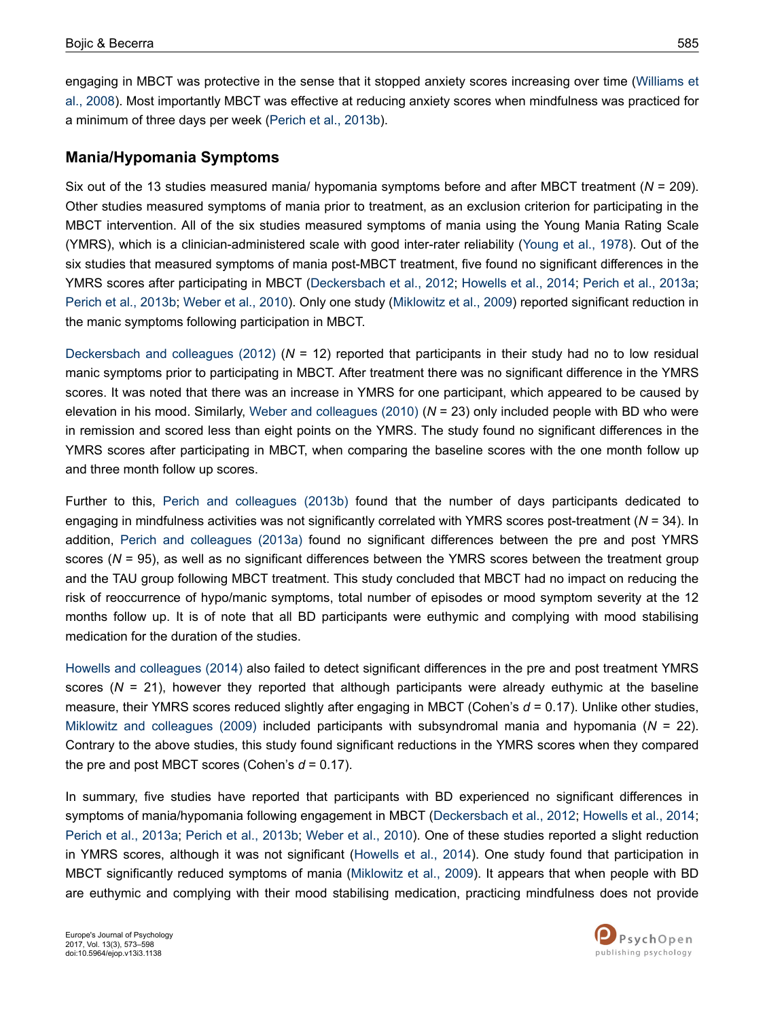engaging in MBCT was protective in the sense that it stopped anxiety scores increasing over time [\(Williams et](#page-25-0) [al., 2008](#page-25-0)). Most importantly MBCT was effective at reducing anxiety scores when mindfulness was practiced for a minimum of three days per week ([Perich et al., 2013b](#page-23-0)).

### **Mania/Hypomania Symptoms**

Six out of the 13 studies measured mania/ hypomania symptoms before and after MBCT treatment (*N* = 209). Other studies measured symptoms of mania prior to treatment, as an exclusion criterion for participating in the MBCT intervention. All of the six studies measured symptoms of mania using the Young Mania Rating Scale (YMRS), which is a clinician-administered scale with good inter-rater reliability [\(Young et al., 1978](#page-25-0)). Out of the six studies that measured symptoms of mania post-MBCT treatment, five found no significant differences in the YMRS scores after participating in MBCT ([Deckersbach et al., 2012;](#page-20-0) [Howells et al., 2014](#page-21-0); [Perich et al., 2013a](#page-23-0); [Perich et al., 2013b](#page-23-0); [Weber et al., 2010](#page-25-0)). Only one study [\(Miklowitz et al., 2009](#page-23-0)) reported significant reduction in the manic symptoms following participation in MBCT.

[Deckersbach and colleagues \(2012\)](#page-20-0) (*N* = 12) reported that participants in their study had no to low residual manic symptoms prior to participating in MBCT. After treatment there was no significant difference in the YMRS scores. It was noted that there was an increase in YMRS for one participant, which appeared to be caused by elevation in his mood. Similarly, [Weber and colleagues \(2010\)](#page-25-0) (*N* = 23) only included people with BD who were in remission and scored less than eight points on the YMRS. The study found no significant differences in the YMRS scores after participating in MBCT, when comparing the baseline scores with the one month follow up and three month follow up scores.

Further to this, [Perich and colleagues \(2013b\)](#page-23-0) found that the number of days participants dedicated to engaging in mindfulness activities was not significantly correlated with YMRS scores post-treatment (*N* = 34). In addition, [Perich and colleagues \(2013a\)](#page-23-0) found no significant differences between the pre and post YMRS scores (*N* = 95), as well as no significant differences between the YMRS scores between the treatment group and the TAU group following MBCT treatment. This study concluded that MBCT had no impact on reducing the risk of reoccurrence of hypo/manic symptoms, total number of episodes or mood symptom severity at the 12 months follow up. It is of note that all BD participants were euthymic and complying with mood stabilising medication for the duration of the studies.

[Howells and colleagues \(2014\)](#page-21-0) also failed to detect significant differences in the pre and post treatment YMRS scores  $(N = 21)$ , however they reported that although participants were already euthymic at the baseline measure, their YMRS scores reduced slightly after engaging in MBCT (Cohen's *d* = 0.17). Unlike other studies, [Miklowitz and colleagues \(2009\)](#page-23-0) included participants with subsyndromal mania and hypomania (*N* = 22). Contrary to the above studies, this study found significant reductions in the YMRS scores when they compared the pre and post MBCT scores (Cohen's  $d = 0.17$ ).

In summary, five studies have reported that participants with BD experienced no significant differences in symptoms of mania/hypomania following engagement in MBCT ([Deckersbach et al., 2012](#page-20-0); [Howells et al., 2014](#page-21-0); [Perich et al., 2013a;](#page-23-0) [Perich et al., 2013b](#page-23-0); [Weber et al., 2010](#page-25-0)). One of these studies reported a slight reduction in YMRS scores, although it was not significant ([Howells et al., 2014](#page-21-0)). One study found that participation in MBCT significantly reduced symptoms of mania [\(Miklowitz et al., 2009\)](#page-23-0). It appears that when people with BD are euthymic and complying with their mood stabilising medication, practicing mindfulness does not provide

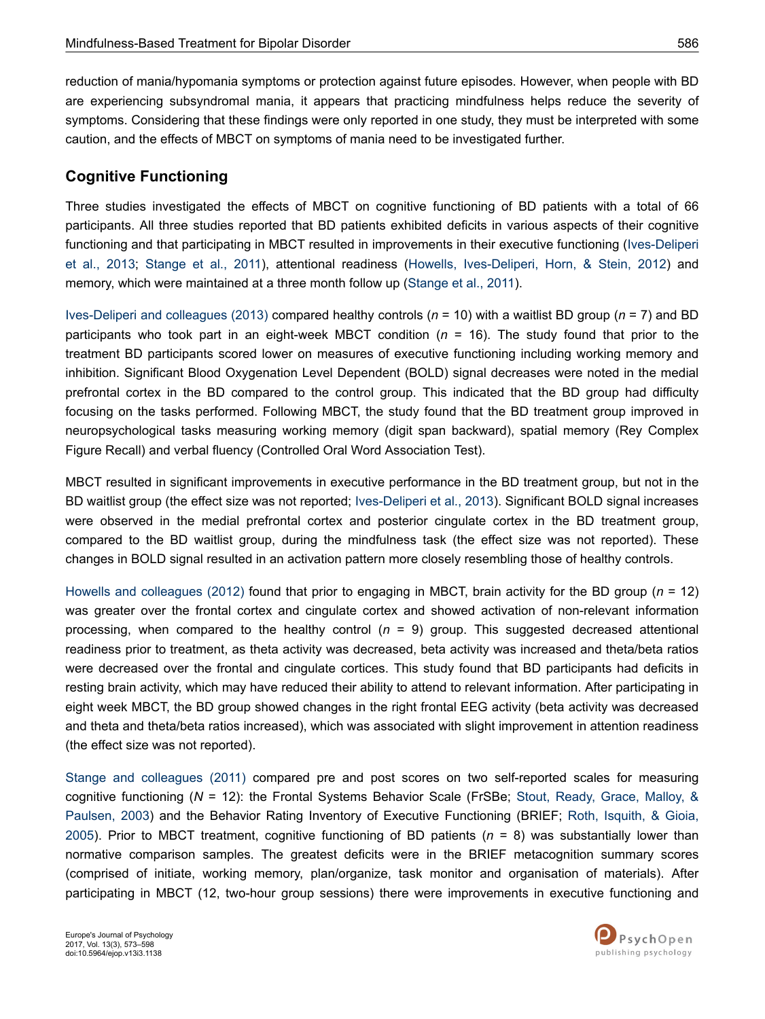reduction of mania/hypomania symptoms or protection against future episodes. However, when people with BD are experiencing subsyndromal mania, it appears that practicing mindfulness helps reduce the severity of symptoms. Considering that these findings were only reported in one study, they must be interpreted with some caution, and the effects of MBCT on symptoms of mania need to be investigated further.

### **Cognitive Functioning**

Three studies investigated the effects of MBCT on cognitive functioning of BD patients with a total of 66 participants. All three studies reported that BD patients exhibited deficits in various aspects of their cognitive functioning and that participating in MBCT resulted in improvements in their executive functioning ([Ives-Deliperi](#page-21-0) [et al., 2013](#page-21-0); [Stange et al., 2011\)](#page-24-0), attentional readiness [\(Howells, Ives-Deliperi, Horn, & Stein, 2012](#page-21-0)) and memory, which were maintained at a three month follow up ([Stange et al., 2011\)](#page-24-0).

[Ives-Deliperi and colleagues \(2013\)](#page-21-0) compared healthy controls (*n* = 10) with a waitlist BD group (*n* = 7) and BD participants who took part in an eight-week MBCT condition (*n* = 16). The study found that prior to the treatment BD participants scored lower on measures of executive functioning including working memory and inhibition. Significant Blood Oxygenation Level Dependent (BOLD) signal decreases were noted in the medial prefrontal cortex in the BD compared to the control group. This indicated that the BD group had difficulty focusing on the tasks performed. Following MBCT, the study found that the BD treatment group improved in neuropsychological tasks measuring working memory (digit span backward), spatial memory (Rey Complex Figure Recall) and verbal fluency (Controlled Oral Word Association Test).

MBCT resulted in significant improvements in executive performance in the BD treatment group, but not in the BD waitlist group (the effect size was not reported; [Ives-Deliperi et al., 2013\)](#page-21-0). Significant BOLD signal increases were observed in the medial prefrontal cortex and posterior cingulate cortex in the BD treatment group, compared to the BD waitlist group, during the mindfulness task (the effect size was not reported). These changes in BOLD signal resulted in an activation pattern more closely resembling those of healthy controls.

[Howells and colleagues \(2012\)](#page-21-0) found that prior to engaging in MBCT, brain activity for the BD group (*n* = 12) was greater over the frontal cortex and cingulate cortex and showed activation of non-relevant information processing, when compared to the healthy control (*n* = 9) group. This suggested decreased attentional readiness prior to treatment, as theta activity was decreased, beta activity was increased and theta/beta ratios were decreased over the frontal and cingulate cortices. This study found that BD participants had deficits in resting brain activity, which may have reduced their ability to attend to relevant information. After participating in eight week MBCT, the BD group showed changes in the right frontal EEG activity (beta activity was decreased and theta and theta/beta ratios increased), which was associated with slight improvement in attention readiness (the effect size was not reported).

[Stange and colleagues \(2011\)](#page-24-0) compared pre and post scores on two self-reported scales for measuring cognitive functioning (*N* = 12): the Frontal Systems Behavior Scale (FrSBe; [Stout, Ready, Grace, Malloy, &](#page-24-0) [Paulsen, 2003\)](#page-24-0) and the Behavior Rating Inventory of Executive Functioning (BRIEF; [Roth, Isquith, & Gioia,](#page-23-0) [2005](#page-23-0)). Prior to MBCT treatment, cognitive functioning of BD patients (*n* = 8) was substantially lower than normative comparison samples. The greatest deficits were in the BRIEF metacognition summary scores (comprised of initiate, working memory, plan/organize, task monitor and organisation of materials). After participating in MBCT (12, two-hour group sessions) there were improvements in executive functioning and

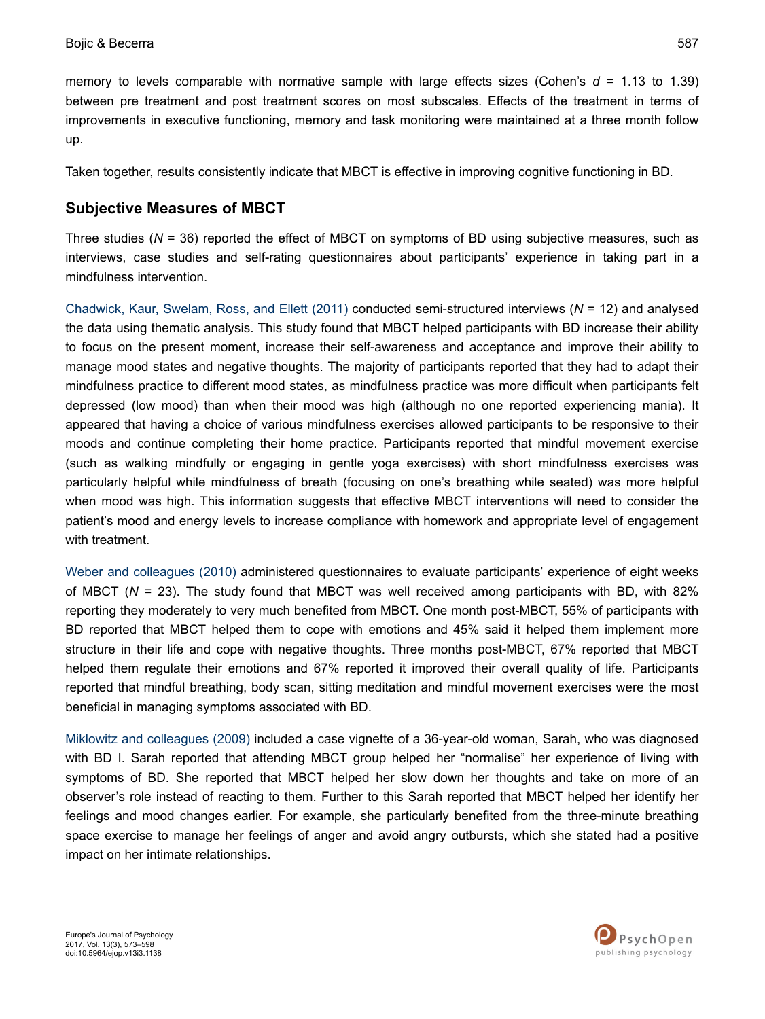memory to levels comparable with normative sample with large effects sizes (Cohen's  $d = 1.13$  to 1.39) between pre treatment and post treatment scores on most subscales. Effects of the treatment in terms of improvements in executive functioning, memory and task monitoring were maintained at a three month follow up.

Taken together, results consistently indicate that MBCT is effective in improving cognitive functioning in BD.

### **Subjective Measures of MBCT**

Three studies (*N* = 36) reported the effect of MBCT on symptoms of BD using subjective measures, such as interviews, case studies and self-rating questionnaires about participants' experience in taking part in a mindfulness intervention.

[Chadwick, Kaur, Swelam, Ross, and Ellett \(2011\)](#page-20-0) conducted semi-structured interviews (*N* = 12) and analysed the data using thematic analysis. This study found that MBCT helped participants with BD increase their ability to focus on the present moment, increase their self-awareness and acceptance and improve their ability to manage mood states and negative thoughts. The majority of participants reported that they had to adapt their mindfulness practice to different mood states, as mindfulness practice was more difficult when participants felt depressed (low mood) than when their mood was high (although no one reported experiencing mania). It appeared that having a choice of various mindfulness exercises allowed participants to be responsive to their moods and continue completing their home practice. Participants reported that mindful movement exercise (such as walking mindfully or engaging in gentle yoga exercises) with short mindfulness exercises was particularly helpful while mindfulness of breath (focusing on one's breathing while seated) was more helpful when mood was high. This information suggests that effective MBCT interventions will need to consider the patient's mood and energy levels to increase compliance with homework and appropriate level of engagement with treatment.

[Weber and colleagues \(2010\)](#page-25-0) administered questionnaires to evaluate participants' experience of eight weeks of MBCT (*N* = 23). The study found that MBCT was well received among participants with BD, with 82% reporting they moderately to very much benefited from MBCT. One month post-MBCT, 55% of participants with BD reported that MBCT helped them to cope with emotions and 45% said it helped them implement more structure in their life and cope with negative thoughts. Three months post-MBCT, 67% reported that MBCT helped them regulate their emotions and 67% reported it improved their overall quality of life. Participants reported that mindful breathing, body scan, sitting meditation and mindful movement exercises were the most beneficial in managing symptoms associated with BD.

[Miklowitz and colleagues \(2009\)](#page-23-0) included a case vignette of a 36-year-old woman, Sarah, who was diagnosed with BD I. Sarah reported that attending MBCT group helped her "normalise" her experience of living with symptoms of BD. She reported that MBCT helped her slow down her thoughts and take on more of an observer's role instead of reacting to them. Further to this Sarah reported that MBCT helped her identify her feelings and mood changes earlier. For example, she particularly benefited from the three-minute breathing space exercise to manage her feelings of anger and avoid angry outbursts, which she stated had a positive impact on her intimate relationships.

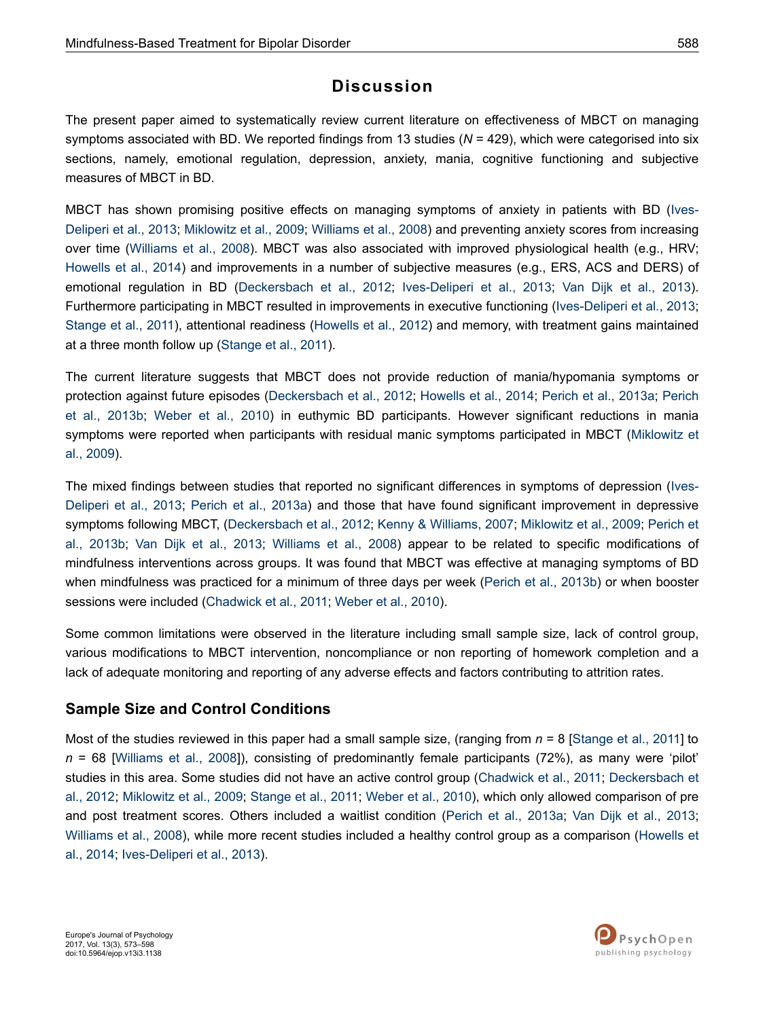## **Discussion**

The present paper aimed to systematically review current literature on effectiveness of MBCT on managing symptoms associated with BD. We reported findings from 13 studies (*N* = 429), which were categorised into six sections, namely, emotional regulation, depression, anxiety, mania, cognitive functioning and subjective measures of MBCT in BD.

MBCT has shown promising positive effects on managing symptoms of anxiety in patients with BD ([Ives-](#page-21-0)[Deliperi et al., 2013;](#page-21-0) [Miklowitz et al., 2009](#page-23-0); [Williams et al., 2008\)](#page-25-0) and preventing anxiety scores from increasing over time [\(Williams et al., 2008\)](#page-25-0). MBCT was also associated with improved physiological health (e.g., HRV; [Howells et al., 2014](#page-21-0)) and improvements in a number of subjective measures (e.g., ERS, ACS and DERS) of emotional regulation in BD ([Deckersbach et al., 2012;](#page-20-0) [Ives-Deliperi et al., 2013;](#page-21-0) [Van Dijk et al., 2013](#page-24-0)). Furthermore participating in MBCT resulted in improvements in executive functioning [\(Ives-Deliperi et al., 2013](#page-21-0); [Stange et al., 2011\)](#page-24-0), attentional readiness ([Howells et al., 2012](#page-21-0)) and memory, with treatment gains maintained at a three month follow up [\(Stange et al., 2011](#page-24-0)).

The current literature suggests that MBCT does not provide reduction of mania/hypomania symptoms or protection against future episodes [\(Deckersbach et al., 2012](#page-20-0); [Howells et al., 2014](#page-21-0); [Perich et al., 2013a;](#page-23-0) [Perich](#page-23-0) [et al., 2013b;](#page-23-0) [Weber et al., 2010\)](#page-25-0) in euthymic BD participants. However significant reductions in mania symptoms were reported when participants with residual manic symptoms participated in MBCT ([Miklowitz et](#page-23-0) [al., 2009](#page-23-0)).

The mixed findings between studies that reported no significant differences in symptoms of depression ([Ives-](#page-21-0)[Deliperi et al., 2013;](#page-21-0) [Perich et al., 2013a](#page-23-0)) and those that have found significant improvement in depressive symptoms following MBCT, ([Deckersbach et al., 2012;](#page-20-0) [Kenny & Williams, 2007](#page-22-0); [Miklowitz et al., 2009;](#page-23-0) [Perich et](#page-23-0) [al., 2013b](#page-23-0); [Van Dijk et al., 2013](#page-24-0); [Williams et al., 2008](#page-25-0)) appear to be related to specific modifications of mindfulness interventions across groups. It was found that MBCT was effective at managing symptoms of BD when mindfulness was practiced for a minimum of three days per week [\(Perich et al., 2013b\)](#page-23-0) or when booster sessions were included ([Chadwick et al., 2011](#page-20-0); [Weber et al., 2010](#page-25-0)).

Some common limitations were observed in the literature including small sample size, lack of control group, various modifications to MBCT intervention, noncompliance or non reporting of homework completion and a lack of adequate monitoring and reporting of any adverse effects and factors contributing to attrition rates.

### **Sample Size and Control Conditions**

Most of the studies reviewed in this paper had a small sample size, (ranging from *n* = 8 [[Stange et al., 2011](#page-24-0)] to *n* = 68 [[Williams et al., 2008\]](#page-25-0)), consisting of predominantly female participants (72%), as many were 'pilot' studies in this area. Some studies did not have an active control group ([Chadwick et al., 2011](#page-20-0); [Deckersbach et](#page-20-0) [al., 2012;](#page-20-0) [Miklowitz et al., 2009](#page-23-0); [Stange et al., 2011](#page-24-0); [Weber et al., 2010](#page-25-0)), which only allowed comparison of pre and post treatment scores. Others included a waitlist condition [\(Perich et al., 2013a;](#page-23-0) [Van Dijk et al., 2013](#page-24-0); [Williams et al., 2008](#page-25-0)), while more recent studies included a healthy control group as a comparison ([Howells et](#page-21-0) [al., 2014](#page-21-0); [Ives-Deliperi et al., 2013\)](#page-21-0).

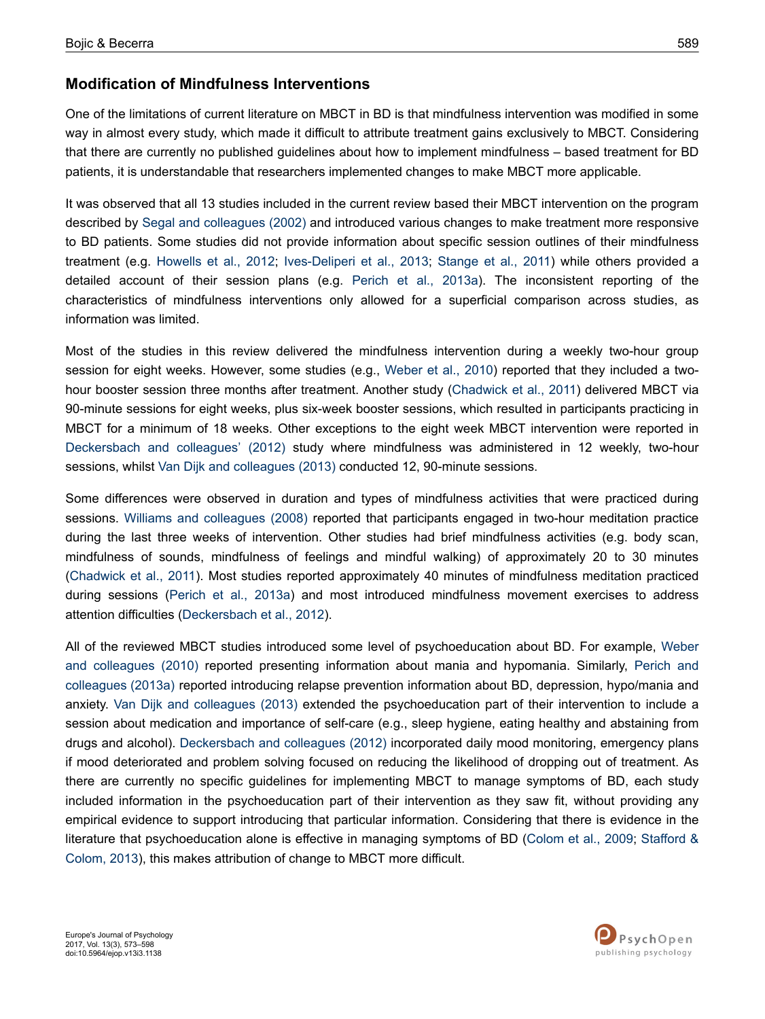### **Modification of Mindfulness Interventions**

One of the limitations of current literature on MBCT in BD is that mindfulness intervention was modified in some way in almost every study, which made it difficult to attribute treatment gains exclusively to MBCT. Considering that there are currently no published guidelines about how to implement mindfulness – based treatment for BD patients, it is understandable that researchers implemented changes to make MBCT more applicable.

It was observed that all 13 studies included in the current review based their MBCT intervention on the program described by [Segal and colleagues \(2002\)](#page-24-0) and introduced various changes to make treatment more responsive to BD patients. Some studies did not provide information about specific session outlines of their mindfulness treatment (e.g. [Howells et al., 2012](#page-21-0); [Ives-Deliperi et al., 2013;](#page-21-0) [Stange et al., 2011\)](#page-24-0) while others provided a detailed account of their session plans (e.g. [Perich et al., 2013a](#page-23-0)). The inconsistent reporting of the characteristics of mindfulness interventions only allowed for a superficial comparison across studies, as information was limited.

Most of the studies in this review delivered the mindfulness intervention during a weekly two-hour group session for eight weeks. However, some studies (e.g., [Weber et al., 2010](#page-25-0)) reported that they included a twohour booster session three months after treatment. Another study [\(Chadwick et al., 2011\)](#page-20-0) delivered MBCT via 90-minute sessions for eight weeks, plus six-week booster sessions, which resulted in participants practicing in MBCT for a minimum of 18 weeks. Other exceptions to the eight week MBCT intervention were reported in [Deckersbach and colleagues' \(2012\)](#page-20-0) study where mindfulness was administered in 12 weekly, two-hour sessions, whilst [Van Dijk and colleagues \(2013\)](#page-24-0) conducted 12, 90-minute sessions.

Some differences were observed in duration and types of mindfulness activities that were practiced during sessions. [Williams and colleagues \(2008\)](#page-25-0) reported that participants engaged in two-hour meditation practice during the last three weeks of intervention. Other studies had brief mindfulness activities (e.g. body scan, mindfulness of sounds, mindfulness of feelings and mindful walking) of approximately 20 to 30 minutes [\(Chadwick et al., 2011](#page-20-0)). Most studies reported approximately 40 minutes of mindfulness meditation practiced during sessions ([Perich et al., 2013a](#page-23-0)) and most introduced mindfulness movement exercises to address attention difficulties ([Deckersbach et al., 2012\)](#page-20-0).

All of the reviewed MBCT studies introduced some level of psychoeducation about BD. For example, [Weber](#page-25-0) [and colleagues \(2010\)](#page-25-0) reported presenting information about mania and hypomania. Similarly, [Perich and](#page-23-0) [colleagues \(2013a\)](#page-23-0) reported introducing relapse prevention information about BD, depression, hypo/mania and anxiety. [Van Dijk and colleagues \(2013\)](#page-24-0) extended the psychoeducation part of their intervention to include a session about medication and importance of self-care (e.g., sleep hygiene, eating healthy and abstaining from drugs and alcohol). [Deckersbach and colleagues \(2012\)](#page-20-0) incorporated daily mood monitoring, emergency plans if mood deteriorated and problem solving focused on reducing the likelihood of dropping out of treatment. As there are currently no specific guidelines for implementing MBCT to manage symptoms of BD, each study included information in the psychoeducation part of their intervention as they saw fit, without providing any empirical evidence to support introducing that particular information. Considering that there is evidence in the literature that psychoeducation alone is effective in managing symptoms of BD [\(Colom et al., 2009](#page-20-0); [Stafford &](#page-24-0) [Colom, 2013\)](#page-24-0), this makes attribution of change to MBCT more difficult.

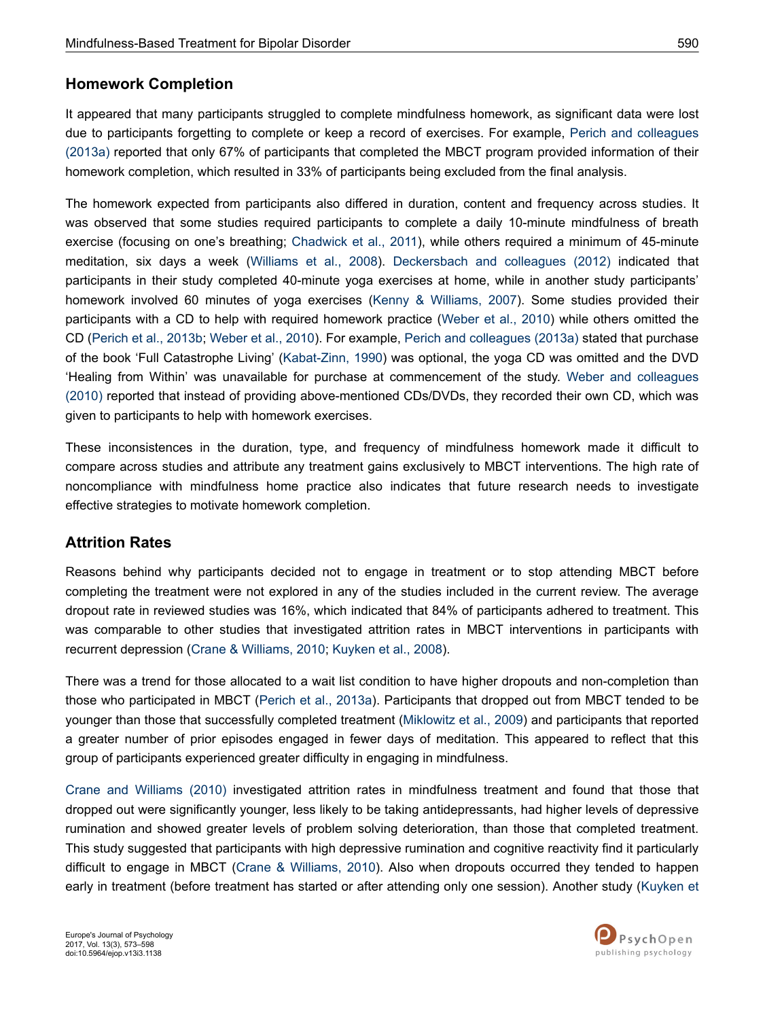### **Homework Completion**

It appeared that many participants struggled to complete mindfulness homework, as significant data were lost due to participants forgetting to complete or keep a record of exercises. For example, [Perich and colleagues](#page-23-0) [\(2013a\)](#page-23-0) reported that only 67% of participants that completed the MBCT program provided information of their homework completion, which resulted in 33% of participants being excluded from the final analysis.

The homework expected from participants also differed in duration, content and frequency across studies. It was observed that some studies required participants to complete a daily 10-minute mindfulness of breath exercise (focusing on one's breathing; [Chadwick et al., 2011](#page-20-0)), while others required a minimum of 45-minute meditation, six days a week [\(Williams et al., 2008](#page-25-0)). [Deckersbach and colleagues \(2012\)](#page-20-0) indicated that participants in their study completed 40-minute yoga exercises at home, while in another study participants' homework involved 60 minutes of yoga exercises [\(Kenny & Williams, 2007\)](#page-22-0). Some studies provided their participants with a CD to help with required homework practice ([Weber et al., 2010\)](#page-25-0) while others omitted the CD ([Perich et al., 2013b;](#page-23-0) [Weber et al., 2010\)](#page-25-0). For example, [Perich and colleagues \(2013a\)](#page-23-0) stated that purchase of the book 'Full Catastrophe Living' [\(Kabat-Zinn, 1990\)](#page-22-0) was optional, the yoga CD was omitted and the DVD 'Healing from Within' was unavailable for purchase at commencement of the study. [Weber and colleagues](#page-25-0) [\(2010\)](#page-25-0) reported that instead of providing above-mentioned CDs/DVDs, they recorded their own CD, which was given to participants to help with homework exercises.

These inconsistences in the duration, type, and frequency of mindfulness homework made it difficult to compare across studies and attribute any treatment gains exclusively to MBCT interventions. The high rate of noncompliance with mindfulness home practice also indicates that future research needs to investigate effective strategies to motivate homework completion.

### **Attrition Rates**

Reasons behind why participants decided not to engage in treatment or to stop attending MBCT before completing the treatment were not explored in any of the studies included in the current review. The average dropout rate in reviewed studies was 16%, which indicated that 84% of participants adhered to treatment. This was comparable to other studies that investigated attrition rates in MBCT interventions in participants with recurrent depression ([Crane & Williams, 2010](#page-20-0); [Kuyken et al., 2008\)](#page-22-0).

There was a trend for those allocated to a wait list condition to have higher dropouts and non-completion than those who participated in MBCT ([Perich et al., 2013a\)](#page-23-0). Participants that dropped out from MBCT tended to be younger than those that successfully completed treatment ([Miklowitz et al., 2009](#page-23-0)) and participants that reported a greater number of prior episodes engaged in fewer days of meditation. This appeared to reflect that this group of participants experienced greater difficulty in engaging in mindfulness.

[Crane and Williams \(2010\)](#page-20-0) investigated attrition rates in mindfulness treatment and found that those that dropped out were significantly younger, less likely to be taking antidepressants, had higher levels of depressive rumination and showed greater levels of problem solving deterioration, than those that completed treatment. This study suggested that participants with high depressive rumination and cognitive reactivity find it particularly difficult to engage in MBCT ([Crane & Williams, 2010\)](#page-20-0). Also when dropouts occurred they tended to happen early in treatment (before treatment has started or after attending only one session). Another study [\(Kuyken et](#page-22-0)

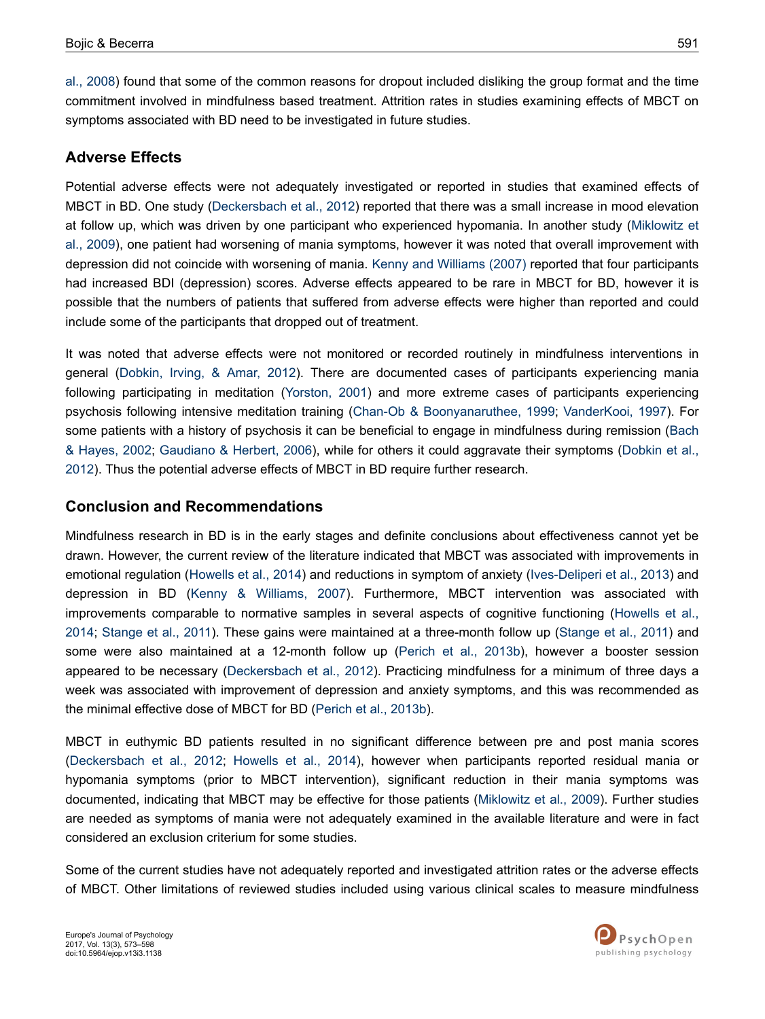[al., 2008\)](#page-22-0) found that some of the common reasons for dropout included disliking the group format and the time commitment involved in mindfulness based treatment. Attrition rates in studies examining effects of MBCT on symptoms associated with BD need to be investigated in future studies.

### **Adverse Effects**

Potential adverse effects were not adequately investigated or reported in studies that examined effects of MBCT in BD. One study [\(Deckersbach et al., 2012\)](#page-20-0) reported that there was a small increase in mood elevation at follow up, which was driven by one participant who experienced hypomania. In another study ([Miklowitz et](#page-23-0) [al., 2009\)](#page-23-0), one patient had worsening of mania symptoms, however it was noted that overall improvement with depression did not coincide with worsening of mania. [Kenny and Williams \(2007\)](#page-22-0) reported that four participants had increased BDI (depression) scores. Adverse effects appeared to be rare in MBCT for BD, however it is possible that the numbers of patients that suffered from adverse effects were higher than reported and could include some of the participants that dropped out of treatment.

It was noted that adverse effects were not monitored or recorded routinely in mindfulness interventions in general [\(Dobkin, Irving, & Amar, 2012](#page-20-0)). There are documented cases of participants experiencing mania following participating in meditation [\(Yorston, 2001](#page-25-0)) and more extreme cases of participants experiencing psychosis following intensive meditation training ([Chan-Ob & Boonyanaruthee, 1999](#page-20-0); [VanderKooi, 1997](#page-24-0)). For some patients with a history of psychosis it can be beneficial to engage in mindfulness during remission [\(Bach](#page-19-0) [& Hayes, 2002](#page-19-0); [Gaudiano & Herbert, 2006](#page-21-0)), while for others it could aggravate their symptoms [\(Dobkin et al.,](#page-20-0) [2012](#page-20-0)). Thus the potential adverse effects of MBCT in BD require further research.

### **Conclusion and Recommendations**

Mindfulness research in BD is in the early stages and definite conclusions about effectiveness cannot yet be drawn. However, the current review of the literature indicated that MBCT was associated with improvements in emotional regulation [\(Howells et al., 2014](#page-21-0)) and reductions in symptom of anxiety [\(Ives-Deliperi et al., 2013](#page-21-0)) and depression in BD ([Kenny & Williams, 2007\)](#page-22-0). Furthermore, MBCT intervention was associated with improvements comparable to normative samples in several aspects of cognitive functioning ([Howells et al.,](#page-21-0) [2014](#page-21-0); [Stange et al., 2011\)](#page-24-0). These gains were maintained at a three-month follow up ([Stange et al., 2011\)](#page-24-0) and some were also maintained at a 12-month follow up ([Perich et al., 2013b](#page-23-0)), however a booster session appeared to be necessary ([Deckersbach et al., 2012\)](#page-20-0). Practicing mindfulness for a minimum of three days a week was associated with improvement of depression and anxiety symptoms, and this was recommended as the minimal effective dose of MBCT for BD ([Perich et al., 2013b](#page-23-0)).

MBCT in euthymic BD patients resulted in no significant difference between pre and post mania scores [\(Deckersbach et al., 2012](#page-20-0); [Howells et al., 2014\)](#page-21-0), however when participants reported residual mania or hypomania symptoms (prior to MBCT intervention), significant reduction in their mania symptoms was documented, indicating that MBCT may be effective for those patients [\(Miklowitz et al., 2009](#page-23-0)). Further studies are needed as symptoms of mania were not adequately examined in the available literature and were in fact considered an exclusion criterium for some studies.

Some of the current studies have not adequately reported and investigated attrition rates or the adverse effects of MBCT. Other limitations of reviewed studies included using various clinical scales to measure mindfulness

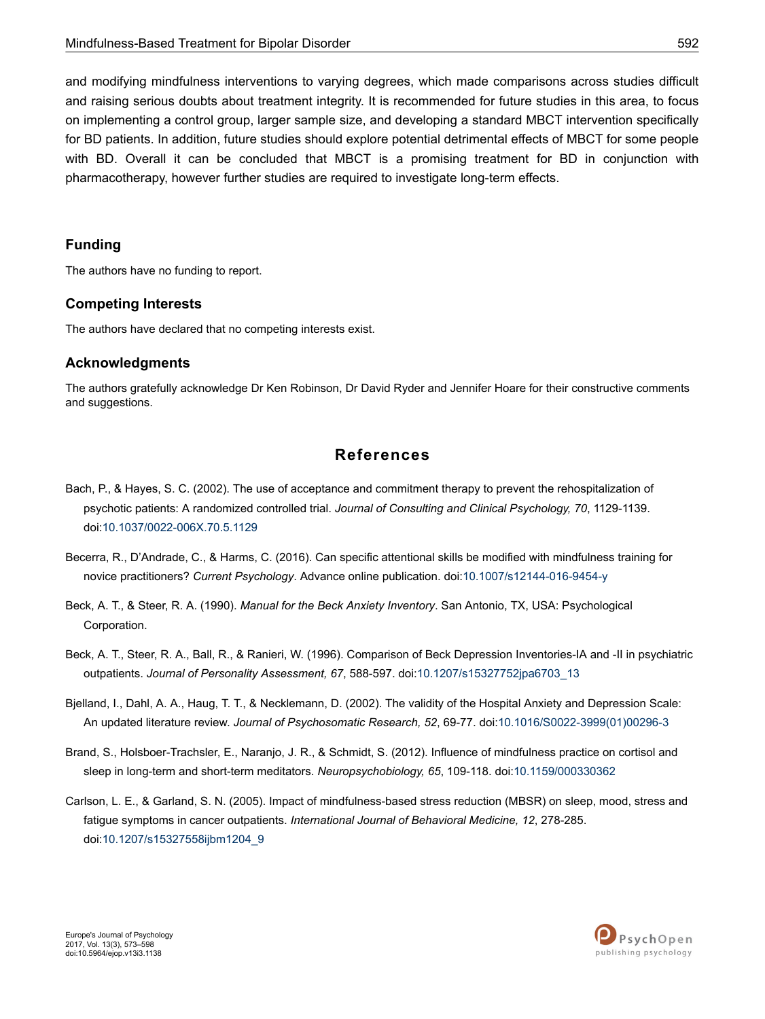<span id="page-19-0"></span>and modifying mindfulness interventions to varying degrees, which made comparisons across studies difficult and raising serious doubts about treatment integrity. It is recommended for future studies in this area, to focus on implementing a control group, larger sample size, and developing a standard MBCT intervention specifically for BD patients. In addition, future studies should explore potential detrimental effects of MBCT for some people with BD. Overall it can be concluded that MBCT is a promising treatment for BD in conjunction with pharmacotherapy, however further studies are required to investigate long-term effects.

#### **Funding**

The authors have no funding to report.

#### **Competing Interests**

The authors have declared that no competing interests exist.

#### **Acknowledgments**

The authors gratefully acknowledge Dr Ken Robinson, Dr David Ryder and Jennifer Hoare for their constructive comments and suggestions.

### **References**

- Bach, P., & Hayes, S. C. (2002). The use of acceptance and commitment therapy to prevent the rehospitalization of psychotic patients: A randomized controlled trial. *Journal of Consulting and Clinical Psychology, 70*, 1129-1139. doi:[10.1037/0022-006X.70.5.1129](http://doi.org/10.1037/0022-006X.70.5.1129)
- Becerra, R., D'Andrade, C., & Harms, C. (2016). Can specific attentional skills be modified with mindfulness training for novice practitioners? *Current Psychology*. Advance online publication. doi[:10.1007/s12144-016-9454-y](http://doi.org/10.1007/s12144-016-9454-y)
- Beck, A. T., & Steer, R. A. (1990). *Manual for the Beck Anxiety Inventory*. San Antonio, TX, USA: Psychological Corporation.
- Beck, A. T., Steer, R. A., Ball, R., & Ranieri, W. (1996). Comparison of Beck Depression Inventories-IA and -II in psychiatric outpatients. *Journal of Personality Assessment, 67*, 588-597. doi:[10.1207/s15327752jpa6703\\_13](http://doi.org/10.1207/s15327752jpa6703_13)
- Bjelland, I., Dahl, A. A., Haug, T. T., & Necklemann, D. (2002). The validity of the Hospital Anxiety and Depression Scale: An updated literature review. *Journal of Psychosomatic Research, 52*, 69-77. doi:10.1016/S0022-3999(01)00296-3
- Brand, S., Holsboer-Trachsler, E., Naranjo, J. R., & Schmidt, S. (2012). Influence of mindfulness practice on cortisol and sleep in long-term and short-term meditators. *Neuropsychobiology, 65*, 109-118. doi[:10.1159/000330362](http://doi.org/10.1159/000330362)
- Carlson, L. E., & Garland, S. N. (2005). Impact of mindfulness-based stress reduction (MBSR) on sleep, mood, stress and fatigue symptoms in cancer outpatients. *International Journal of Behavioral Medicine, 12*, 278-285. doi:[10.1207/s15327558ijbm1204\\_9](http://doi.org/10.1207/s15327558ijbm1204_9)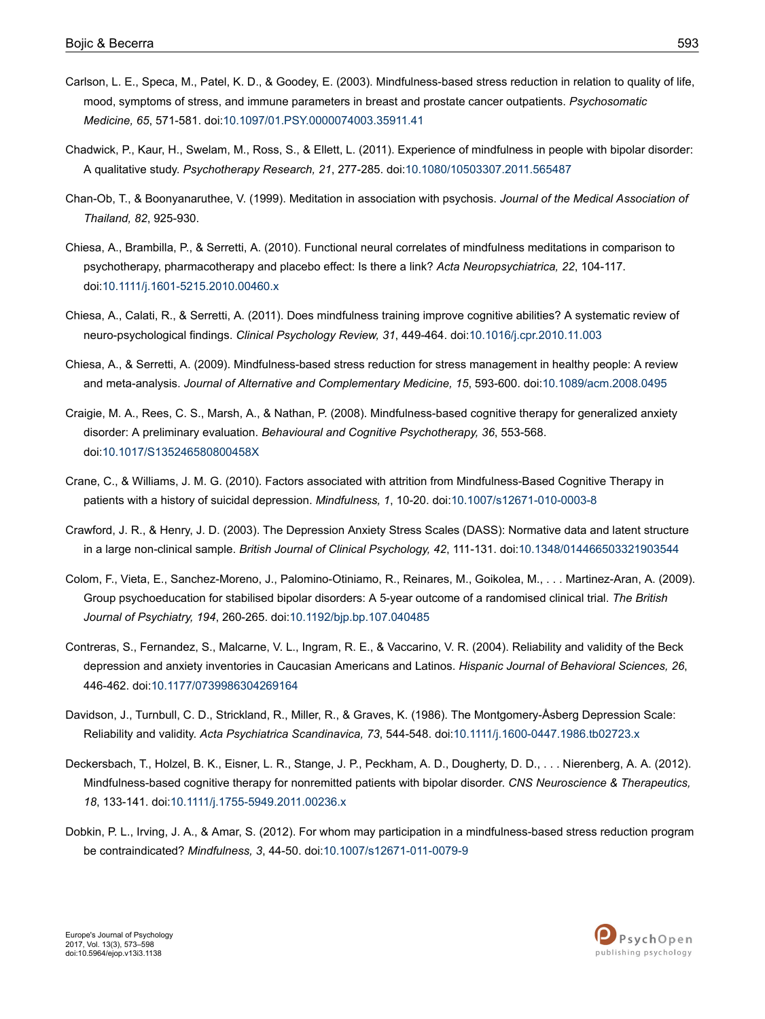- <span id="page-20-0"></span>Carlson, L. E., Speca, M., Patel, K. D., & Goodey, E. (2003). Mindfulness-based stress reduction in relation to quality of life, mood, symptoms of stress, and immune parameters in breast and prostate cancer outpatients. *Psychosomatic Medicine, 65*, 571-581. doi:[10.1097/01.PSY.0000074003.35911.41](http://doi.org/10.1097/01.PSY.0000074003.35911.41)
- Chadwick, P., Kaur, H., Swelam, M., Ross, S., & Ellett, L. (2011). Experience of mindfulness in people with bipolar disorder: A qualitative study. *Psychotherapy Research, 21*, 277-285. doi:[10.1080/10503307.2011.565487](http://doi.org/10.1080/10503307.2011.565487)
- Chan-Ob, T., & Boonyanaruthee, V. (1999). Meditation in association with psychosis. *Journal of the Medical Association of Thailand, 82*, 925-930.
- Chiesa, A., Brambilla, P., & Serretti, A. (2010). Functional neural correlates of mindfulness meditations in comparison to psychotherapy, pharmacotherapy and placebo effect: Is there a link? *Acta Neuropsychiatrica, 22*, 104-117. doi:[10.1111/j.1601-5215.2010.00460.x](http://doi.org/10.1111/j.1601-5215.2010.00460.x)
- Chiesa, A., Calati, R., & Serretti, A. (2011). Does mindfulness training improve cognitive abilities? A systematic review of neuro-psychological findings. *Clinical Psychology Review, 31*, 449-464. doi[:10.1016/j.cpr.2010.11.003](http://doi.org/10.1016/j.cpr.2010.11.003)
- Chiesa, A., & Serretti, A. (2009). Mindfulness-based stress reduction for stress management in healthy people: A review and meta-analysis. *Journal of Alternative and Complementary Medicine, 15*, 593-600. doi[:10.1089/acm.2008.0495](http://doi.org/10.1089/acm.2008.0495)
- Craigie, M. A., Rees, C. S., Marsh, A., & Nathan, P. (2008). Mindfulness-based cognitive therapy for generalized anxiety disorder: A preliminary evaluation. *Behavioural and Cognitive Psychotherapy, 36*, 553-568. doi:[10.1017/S135246580800458X](http://doi.org/10.1017/S135246580800458X)
- Crane, C., & Williams, J. M. G. (2010). Factors associated with attrition from Mindfulness-Based Cognitive Therapy in patients with a history of suicidal depression. *Mindfulness, 1*, 10-20. doi[:10.1007/s12671-010-0003-8](http://doi.org/10.1007/s12671-010-0003-8)
- Crawford, J. R., & Henry, J. D. (2003). The Depression Anxiety Stress Scales (DASS): Normative data and latent structure in a large non-clinical sample. *British Journal of Clinical Psychology, 42*, 111-131. doi:[10.1348/014466503321903544](http://doi.org/10.1348/014466503321903544)
- Colom, F., Vieta, E., Sanchez-Moreno, J., Palomino-Otiniamo, R., Reinares, M., Goikolea, M., . . . Martinez-Aran, A. (2009). Group psychoeducation for stabilised bipolar disorders: A 5-year outcome of a randomised clinical trial. *The British Journal of Psychiatry, 194*, 260-265. doi:[10.1192/bjp.bp.107.040485](http://doi.org/10.1192/bjp.bp.107.040485)
- Contreras, S., Fernandez, S., Malcarne, V. L., Ingram, R. E., & Vaccarino, V. R. (2004). Reliability and validity of the Beck depression and anxiety inventories in Caucasian Americans and Latinos. *Hispanic Journal of Behavioral Sciences, 26*, 446-462. doi:[10.1177/0739986304269164](http://doi.org/10.1177/0739986304269164)
- Davidson, J., Turnbull, C. D., Strickland, R., Miller, R., & Graves, K. (1986). The Montgomery-Åsberg Depression Scale: Reliability and validity. *Acta Psychiatrica Scandinavica, 73*, 544-548. doi[:10.1111/j.1600-0447.1986.tb02723.x](http://doi.org/10.1111/j.1600-0447.1986.tb02723.x)
- Deckersbach, T., Holzel, B. K., Eisner, L. R., Stange, J. P., Peckham, A. D., Dougherty, D. D., . . . Nierenberg, A. A. (2012). Mindfulness-based cognitive therapy for nonremitted patients with bipolar disorder. *CNS Neuroscience & Therapeutics, 18*, 133-141. doi:[10.1111/j.1755-5949.2011.00236.x](http://doi.org/10.1111/j.1755-5949.2011.00236.x)
- Dobkin, P. L., Irving, J. A., & Amar, S. (2012). For whom may participation in a mindfulness-based stress reduction program be contraindicated? *Mindfulness, 3*, 44-50. doi:[10.1007/s12671-011-0079-9](http://doi.org/10.1007/s12671-011-0079-9)

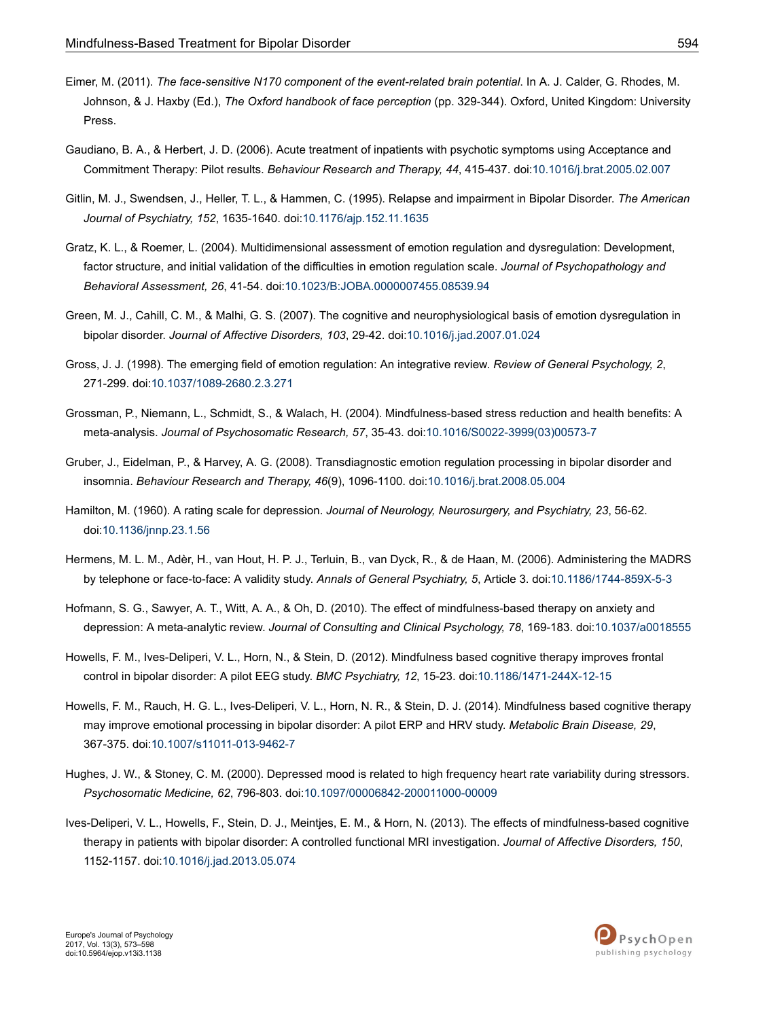- <span id="page-21-0"></span>Eimer, M. (2011). *The face-sensitive N170 component of the event-related brain potential*. In A. J. Calder, G. Rhodes, M. Johnson, & J. Haxby (Ed.), *The Oxford handbook of face perception* (pp. 329-344). Oxford, United Kingdom: University Press.
- Gaudiano, B. A., & Herbert, J. D. (2006). Acute treatment of inpatients with psychotic symptoms using Acceptance and Commitment Therapy: Pilot results. *Behaviour Research and Therapy, 44*, 415-437. doi:[10.1016/j.brat.2005.02.007](http://doi.org/10.1016/j.brat.2005.02.007)
- Gitlin, M. J., Swendsen, J., Heller, T. L., & Hammen, C. (1995). Relapse and impairment in Bipolar Disorder. *The American Journal of Psychiatry, 152*, 1635-1640. doi:[10.1176/ajp.152.11.1635](http://doi.org/10.1176/ajp.152.11.1635)
- Gratz, K. L., & Roemer, L. (2004). Multidimensional assessment of emotion regulation and dysregulation: Development, factor structure, and initial validation of the difficulties in emotion regulation scale. *Journal of Psychopathology and Behavioral Assessment, 26*, 41-54. doi:[10.1023/B:JOBA.0000007455.08539.94](http://doi.org/10.1023/B:JOBA.0000007455.08539.94)
- Green, M. J., Cahill, C. M., & Malhi, G. S. (2007). The cognitive and neurophysiological basis of emotion dysregulation in bipolar disorder. *Journal of Affective Disorders, 103*, 29-42. doi:[10.1016/j.jad.2007.01.024](http://doi.org/10.1016/j.jad.2007.01.024)
- Gross, J. J. (1998). The emerging field of emotion regulation: An integrative review. *Review of General Psychology, 2*, 271-299. doi:[10.1037/1089-2680.2.3.271](http://doi.org/10.1037/1089-2680.2.3.271)
- Grossman, P., Niemann, L., Schmidt, S., & Walach, H. (2004). Mindfulness-based stress reduction and health benefits: A meta-analysis. *Journal of Psychosomatic Research, 57*, 35-43. doi:10.1016/S0022-3999(03)00573-7
- Gruber, J., Eidelman, P., & Harvey, A. G. (2008). Transdiagnostic emotion regulation processing in bipolar disorder and insomnia. *Behaviour Research and Therapy, 46*(9), 1096-1100. doi[:10.1016/j.brat.2008.05.004](http://doi.org/10.1016/j.brat.2008.05.004)
- Hamilton, M. (1960). A rating scale for depression. *Journal of Neurology, Neurosurgery, and Psychiatry, 23*, 56-62. doi:[10.1136/jnnp.23.1.56](http://doi.org/10.1136/jnnp.23.1.56)
- Hermens, M. L. M., Adèr, H., van Hout, H. P. J., Terluin, B., van Dyck, R., & de Haan, M. (2006). Administering the MADRS by telephone or face-to-face: A validity study. *Annals of General Psychiatry, 5*, Article 3. doi[:10.1186/1744-859X-5-3](http://doi.org/10.1186/1744-859X-5-3)
- Hofmann, S. G., Sawyer, A. T., Witt, A. A., & Oh, D. (2010). The effect of mindfulness-based therapy on anxiety and depression: A meta-analytic review. *Journal of Consulting and Clinical Psychology, 78*, 169-183. doi[:10.1037/a0018555](http://doi.org/10.1037/a0018555)
- Howells, F. M., Ives-Deliperi, V. L., Horn, N., & Stein, D. (2012). Mindfulness based cognitive therapy improves frontal control in bipolar disorder: A pilot EEG study. *BMC Psychiatry, 12*, 15-23. doi[:10.1186/1471-244X-12-15](http://doi.org/10.1186/1471-244X-12-15)
- Howells, F. M., Rauch, H. G. L., Ives-Deliperi, V. L., Horn, N. R., & Stein, D. J. (2014). Mindfulness based cognitive therapy may improve emotional processing in bipolar disorder: A pilot ERP and HRV study. *Metabolic Brain Disease, 29*, 367-375. doi:[10.1007/s11011-013-9462-7](http://doi.org/10.1007/s11011-013-9462-7)
- Hughes, J. W., & Stoney, C. M. (2000). Depressed mood is related to high frequency heart rate variability during stressors. *Psychosomatic Medicine, 62*, 796-803. doi:[10.1097/00006842-200011000-00009](http://doi.org/10.1097/00006842-200011000-00009)
- Ives-Deliperi, V. L., Howells, F., Stein, D. J., Meintjes, E. M., & Horn, N. (2013). The effects of mindfulness-based cognitive therapy in patients with bipolar disorder: A controlled functional MRI investigation. *Journal of Affective Disorders, 150*, 1152-1157. doi[:10.1016/j.jad.2013.05.074](http://doi.org/10.1016/j.jad.2013.05.074)

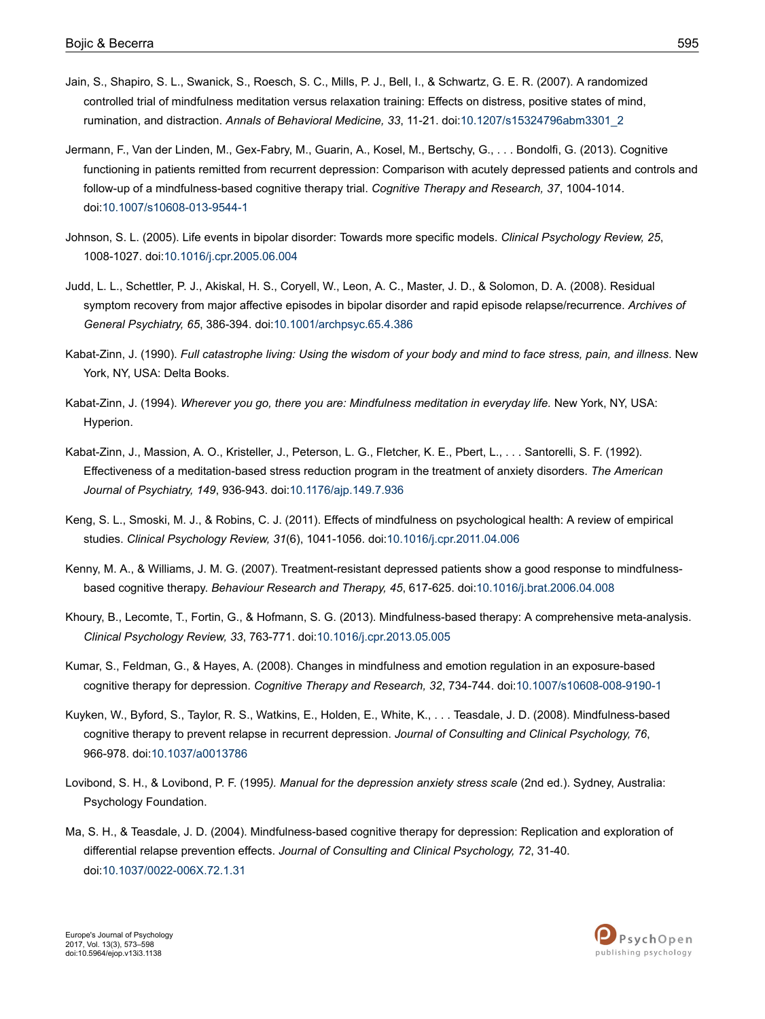- <span id="page-22-0"></span>Jain, S., Shapiro, S. L., Swanick, S., Roesch, S. C., Mills, P. J., Bell, I., & Schwartz, G. E. R. (2007). A randomized controlled trial of mindfulness meditation versus relaxation training: Effects on distress, positive states of mind, rumination, and distraction. *Annals of Behavioral Medicine, 33*, 11-21. doi:[10.1207/s15324796abm3301\\_2](http://doi.org/10.1207/s15324796abm3301_2)
- Jermann, F., Van der Linden, M., Gex-Fabry, M., Guarin, A., Kosel, M., Bertschy, G., . . . Bondolfi, G. (2013). Cognitive functioning in patients remitted from recurrent depression: Comparison with acutely depressed patients and controls and follow-up of a mindfulness-based cognitive therapy trial. *Cognitive Therapy and Research, 37*, 1004-1014. doi:[10.1007/s10608-013-9544-1](http://doi.org/10.1007/s10608-013-9544-1)
- Johnson, S. L. (2005). Life events in bipolar disorder: Towards more specific models. *Clinical Psychology Review, 25*, 1008-1027. doi:[10.1016/j.cpr.2005.06.004](http://doi.org/10.1016/j.cpr.2005.06.004)
- Judd, L. L., Schettler, P. J., Akiskal, H. S., Coryell, W., Leon, A. C., Master, J. D., & Solomon, D. A. (2008). Residual symptom recovery from major affective episodes in bipolar disorder and rapid episode relapse/recurrence. *Archives of General Psychiatry, 65*, 386-394. doi[:10.1001/archpsyc.65.4.386](http://doi.org/10.1001/archpsyc.65.4.386)
- Kabat-Zinn, J. (1990). *Full catastrophe living: Using the wisdom of your body and mind to face stress, pain, and illness*. New York, NY, USA: Delta Books.
- Kabat-Zinn, J. (1994). *Wherever you go, there you are: Mindfulness meditation in everyday life.* New York, NY, USA: Hyperion.
- Kabat-Zinn, J., Massion, A. O., Kristeller, J., Peterson, L. G., Fletcher, K. E., Pbert, L., . . . Santorelli, S. F. (1992). Effectiveness of a meditation-based stress reduction program in the treatment of anxiety disorders. *The American Journal of Psychiatry, 149*, 936-943. doi:[10.1176/ajp.149.7.936](http://doi.org/10.1176/ajp.149.7.936)
- Keng, S. L., Smoski, M. J., & Robins, C. J. (2011). Effects of mindfulness on psychological health: A review of empirical studies. *Clinical Psychology Review, 31*(6), 1041-1056. doi[:10.1016/j.cpr.2011.04.006](http://doi.org/10.1016/j.cpr.2011.04.006)
- Kenny, M. A., & Williams, J. M. G. (2007). Treatment-resistant depressed patients show a good response to mindfulnessbased cognitive therapy. *Behaviour Research and Therapy, 45*, 617-625. doi[:10.1016/j.brat.2006.04.008](http://doi.org/10.1016/j.brat.2006.04.008)
- Khoury, B., Lecomte, T., Fortin, G., & Hofmann, S. G. (2013). Mindfulness-based therapy: A comprehensive meta-analysis. *Clinical Psychology Review, 33*, 763-771. doi:[10.1016/j.cpr.2013.05.005](http://doi.org/10.1016/j.cpr.2013.05.005)
- Kumar, S., Feldman, G., & Hayes, A. (2008). Changes in mindfulness and emotion regulation in an exposure-based cognitive therapy for depression. *Cognitive Therapy and Research, 32*, 734-744. doi:[10.1007/s10608-008-9190-1](http://doi.org/10.1007/s10608-008-9190-1)
- Kuyken, W., Byford, S., Taylor, R. S., Watkins, E., Holden, E., White, K., . . . Teasdale, J. D. (2008). Mindfulness-based cognitive therapy to prevent relapse in recurrent depression. *Journal of Consulting and Clinical Psychology, 76*, 966-978. doi:[10.1037/a0013786](http://doi.org/10.1037/a0013786)
- Lovibond, S. H., & Lovibond, P. F. (1995*). Manual for the depression anxiety stress scale* (2nd ed.). Sydney, Australia: Psychology Foundation.
- Ma, S. H., & Teasdale, J. D. (2004). Mindfulness-based cognitive therapy for depression: Replication and exploration of differential relapse prevention effects. *Journal of Consulting and Clinical Psychology, 72*, 31-40. doi:[10.1037/0022-006X.72.1.31](http://doi.org/10.1037/0022-006X.72.1.31)

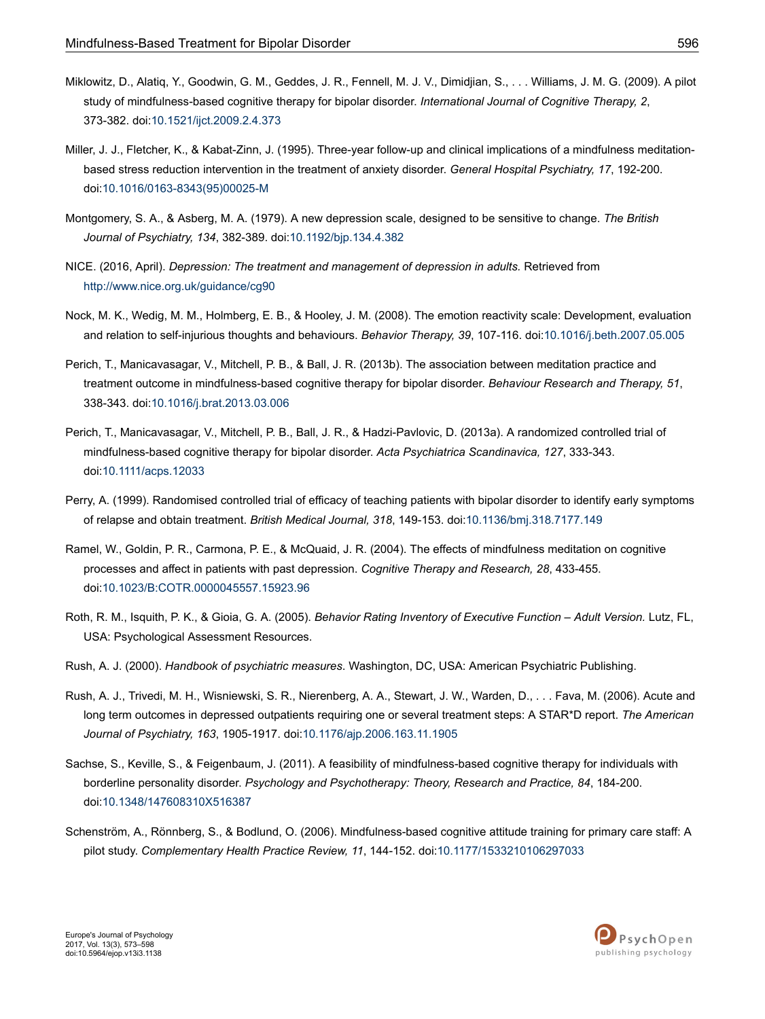- <span id="page-23-0"></span>Miklowitz, D., Alatiq, Y., Goodwin, G. M., Geddes, J. R., Fennell, M. J. V., Dimidjian, S., . . . Williams, J. M. G. (2009). A pilot study of mindfulness-based cognitive therapy for bipolar disorder. *International Journal of Cognitive Therapy, 2*, 373-382. doi:[10.1521/ijct.2009.2.4.373](http://doi.org/10.1521/ijct.2009.2.4.373)
- Miller, J. J., Fletcher, K., & Kabat-Zinn, J. (1995). Three-year follow-up and clinical implications of a mindfulness meditationbased stress reduction intervention in the treatment of anxiety disorder. *General Hospital Psychiatry, 17*, 192-200. doi:10.1016/0163-8343(95)00025-M
- Montgomery, S. A., & Asberg, M. A. (1979). A new depression scale, designed to be sensitive to change. *The British Journal of Psychiatry, 134*, 382-389. doi:[10.1192/bjp.134.4.382](http://doi.org/10.1192/bjp.134.4.382)
- NICE. (2016, April). *Depression: The treatment and management of depression in adults.* Retrieved from <http://www.nice.org.uk/guidance/cg90>
- Nock, M. K., Wedig, M. M., Holmberg, E. B., & Hooley, J. M. (2008). The emotion reactivity scale: Development, evaluation and relation to self-injurious thoughts and behaviours. *Behavior Therapy, 39*, 107-116. doi:[10.1016/j.beth.2007.05.005](http://doi.org/10.1016/j.beth.2007.05.005)
- Perich, T., Manicavasagar, V., Mitchell, P. B., & Ball, J. R. (2013b). The association between meditation practice and treatment outcome in mindfulness-based cognitive therapy for bipolar disorder. *Behaviour Research and Therapy, 51*, 338-343. doi:[10.1016/j.brat.2013.03.006](http://doi.org/10.1016/j.brat.2013.03.006)
- Perich, T., Manicavasagar, V., Mitchell, P. B., Ball, J. R., & Hadzi-Pavlovic, D. (2013a). A randomized controlled trial of mindfulness-based cognitive therapy for bipolar disorder. *Acta Psychiatrica Scandinavica, 127*, 333-343. doi:[10.1111/acps.12033](http://doi.org/10.1111/acps.12033)
- Perry, A. (1999). Randomised controlled trial of efficacy of teaching patients with bipolar disorder to identify early symptoms of relapse and obtain treatment. *British Medical Journal, 318*, 149-153. doi:[10.1136/bmj.318.7177.149](http://doi.org/10.1136/bmj.318.7177.149)
- Ramel, W., Goldin, P. R., Carmona, P. E., & McQuaid, J. R. (2004). The effects of mindfulness meditation on cognitive processes and affect in patients with past depression. *Cognitive Therapy and Research, 28*, 433-455. doi:[10.1023/B:COTR.0000045557.15923.96](http://doi.org/10.1023/B:COTR.0000045557.15923.96)
- Roth, R. M., Isquith, P. K., & Gioia, G. A. (2005). *Behavior Rating Inventory of Executive Function Adult Version.* Lutz, FL, USA: Psychological Assessment Resources.
- Rush, A. J. (2000). *Handbook of psychiatric measures*. Washington, DC, USA: American Psychiatric Publishing.
- Rush, A. J., Trivedi, M. H., Wisniewski, S. R., Nierenberg, A. A., Stewart, J. W., Warden, D., . . . Fava, M. (2006). Acute and long term outcomes in depressed outpatients requiring one or several treatment steps: A STAR\*D report. *The American Journal of Psychiatry, 163*, 1905-1917. doi:[10.1176/ajp.2006.163.11.1905](http://doi.org/10.1176/ajp.2006.163.11.1905)
- Sachse, S., Keville, S., & Feigenbaum, J. (2011). A feasibility of mindfulness-based cognitive therapy for individuals with borderline personality disorder. *Psychology and Psychotherapy: Theory, Research and Practice, 84*, 184-200. doi:[10.1348/147608310X516387](http://doi.org/10.1348/147608310X516387)
- Schenström, A., Rönnberg, S., & Bodlund, O. (2006). Mindfulness-based cognitive attitude training for primary care staff: A pilot study. *Complementary Health Practice Review, 11*, 144-152. doi:[10.1177/1533210106297033](http://doi.org/10.1177/1533210106297033)

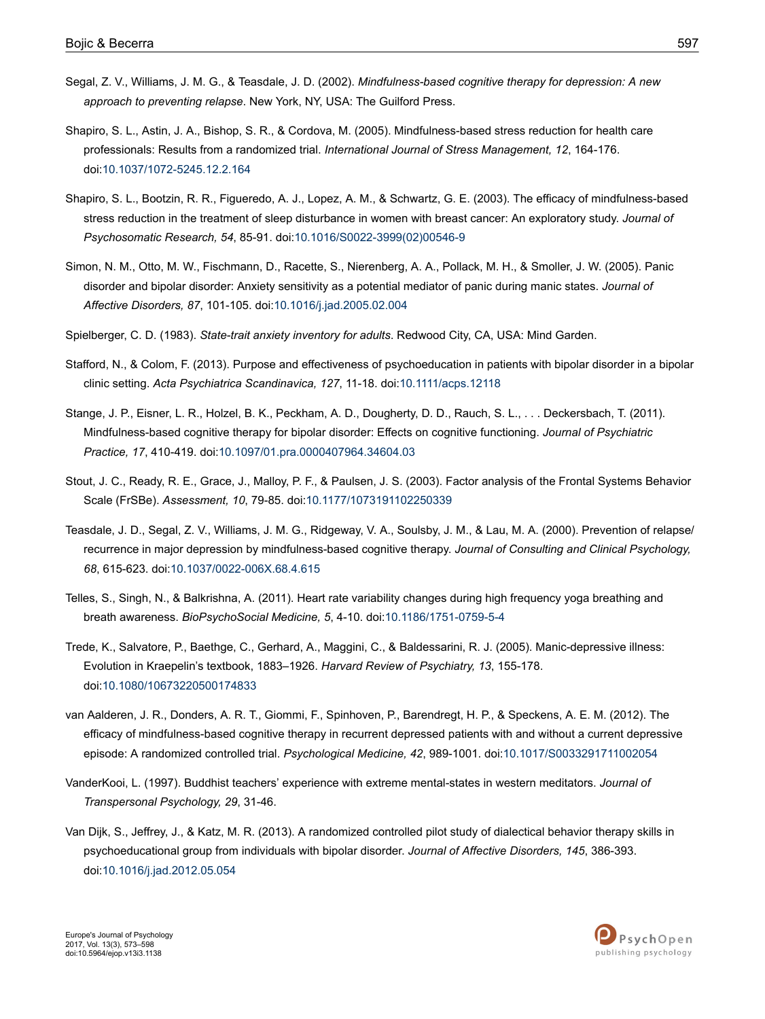- <span id="page-24-0"></span>Segal, Z. V., Williams, J. M. G., & Teasdale, J. D. (2002). *Mindfulness-based cognitive therapy for depression: A new approach to preventing relapse*. New York, NY, USA: The Guilford Press.
- Shapiro, S. L., Astin, J. A., Bishop, S. R., & Cordova, M. (2005). Mindfulness-based stress reduction for health care professionals: Results from a randomized trial. *International Journal of Stress Management, 12*, 164-176. doi:[10.1037/1072-5245.12.2.164](http://doi.org/10.1037/1072-5245.12.2.164)
- Shapiro, S. L., Bootzin, R. R., Figueredo, A. J., Lopez, A. M., & Schwartz, G. E. (2003). The efficacy of mindfulness-based stress reduction in the treatment of sleep disturbance in women with breast cancer: An exploratory study. *Journal of Psychosomatic Research, 54*, 85-91. doi:10.1016/S0022-3999(02)00546-9
- Simon, N. M., Otto, M. W., Fischmann, D., Racette, S., Nierenberg, A. A., Pollack, M. H., & Smoller, J. W. (2005). Panic disorder and bipolar disorder: Anxiety sensitivity as a potential mediator of panic during manic states. *Journal of Affective Disorders, 87*, 101-105. doi[:10.1016/j.jad.2005.02.004](http://doi.org/10.1016/j.jad.2005.02.004)
- Spielberger, C. D. (1983). *State-trait anxiety inventory for adults*. Redwood City, CA, USA: Mind Garden.
- Stafford, N., & Colom, F. (2013). Purpose and effectiveness of psychoeducation in patients with bipolar disorder in a bipolar clinic setting. *Acta Psychiatrica Scandinavica, 127*, 11-18. doi[:10.1111/acps.12118](http://doi.org/10.1111/acps.12118)
- Stange, J. P., Eisner, L. R., Holzel, B. K., Peckham, A. D., Dougherty, D. D., Rauch, S. L., . . . Deckersbach, T. (2011). Mindfulness-based cognitive therapy for bipolar disorder: Effects on cognitive functioning. *Journal of Psychiatric Practice, 17*, 410-419. doi[:10.1097/01.pra.0000407964.34604.03](http://doi.org/10.1097/01.pra.0000407964.34604.03)
- Stout, J. C., Ready, R. E., Grace, J., Malloy, P. F., & Paulsen, J. S. (2003). Factor analysis of the Frontal Systems Behavior Scale (FrSBe). *Assessment, 10*, 79-85. doi[:10.1177/1073191102250339](http://doi.org/10.1177/1073191102250339)
- Teasdale, J. D., Segal, Z. V., Williams, J. M. G., Ridgeway, V. A., Soulsby, J. M., & Lau, M. A. (2000). Prevention of relapse/ recurrence in major depression by mindfulness-based cognitive therapy. *Journal of Consulting and Clinical Psychology, 68*, 615-623. doi:[10.1037/0022-006X.68.4.615](http://doi.org/10.1037/0022-006X.68.4.615)
- Telles, S., Singh, N., & Balkrishna, A. (2011). Heart rate variability changes during high frequency yoga breathing and breath awareness. *BioPsychoSocial Medicine, 5*, 4-10. doi:[10.1186/1751-0759-5-4](http://doi.org/10.1186/1751-0759-5-4)
- Trede, K., Salvatore, P., Baethge, C., Gerhard, A., Maggini, C., & Baldessarini, R. J. (2005). Manic-depressive illness: Evolution in Kraepelin's textbook, 1883–1926. *Harvard Review of Psychiatry, 13*, 155-178. doi:[10.1080/10673220500174833](http://doi.org/10.1080/10673220500174833)
- van Aalderen, J. R., Donders, A. R. T., Giommi, F., Spinhoven, P., Barendregt, H. P., & Speckens, A. E. M. (2012). The efficacy of mindfulness-based cognitive therapy in recurrent depressed patients with and without a current depressive episode: A randomized controlled trial. *Psychological Medicine, 42*, 989-1001. doi:[10.1017/S0033291711002054](http://doi.org/10.1017/S0033291711002054)
- VanderKooi, L. (1997). Buddhist teachers' experience with extreme mental-states in western meditators. *Journal of Transpersonal Psychology, 29*, 31-46.
- Van Dijk, S., Jeffrey, J., & Katz, M. R. (2013). A randomized controlled pilot study of dialectical behavior therapy skills in psychoeducational group from individuals with bipolar disorder. *Journal of Affective Disorders, 145*, 386-393. doi:[10.1016/j.jad.2012.05.054](http://doi.org/10.1016/j.jad.2012.05.054)